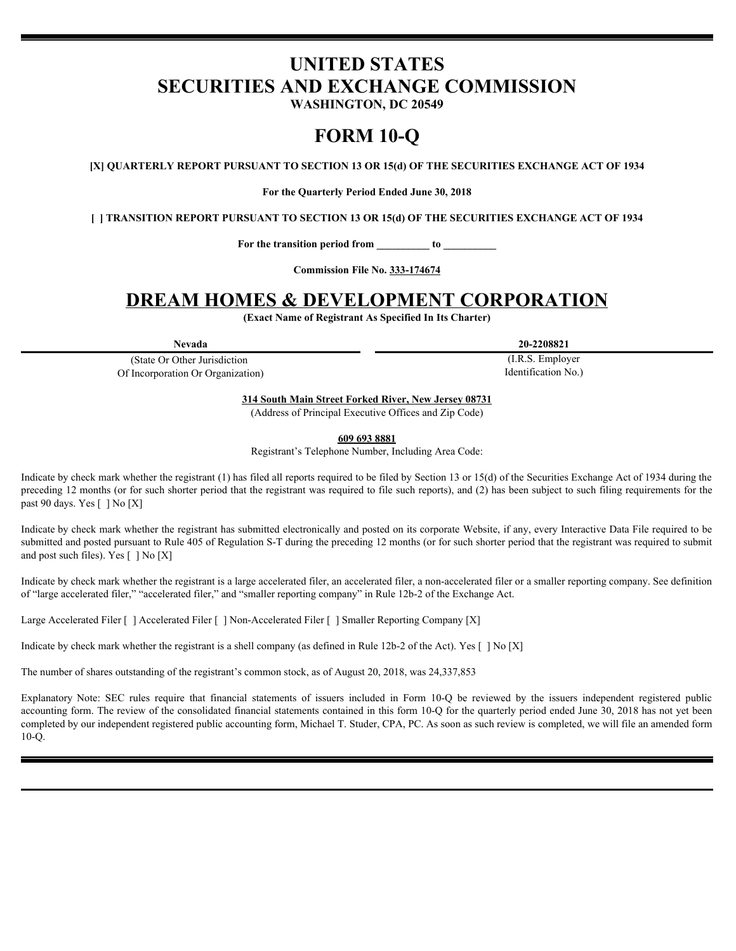# **UNITED STATES SECURITIES AND EXCHANGE COMMISSION**

**WASHINGTON, DC 20549**

## **FORM 10-Q**

**[X] QUARTERLY REPORT PURSUANT TO SECTION 13 OR 15(d) OF THE SECURITIES EXCHANGE ACT OF 1934**

**For the Quarterly Period Ended June 30, 2018**

**[ ] TRANSITION REPORT PURSUANT TO SECTION 13 OR 15(d) OF THE SECURITIES EXCHANGE ACT OF 1934**

**For the transition period from \_\_\_\_\_\_\_\_\_\_ to \_\_\_\_\_\_\_\_\_\_**

**Commission File No. 333-174674**

## **DREAM HOMES & DEVELOPMENT CORPORATION**

**(Exact Name of Registrant As Specified In Its Charter)**

**Nevada 20-2208821**

(I.R.S. Employer Identification No.)

(State Or Other Jurisdiction Of Incorporation Or Organization)

**314 South Main Street Forked River, New Jersey 08731**

(Address of Principal Executive Offices and Zip Code)

**609 693 8881**

Registrant's Telephone Number, Including Area Code:

Indicate by check mark whether the registrant (1) has filed all reports required to be filed by Section 13 or 15(d) of the Securities Exchange Act of 1934 during the preceding 12 months (or for such shorter period that the registrant was required to file such reports), and (2) has been subject to such filing requirements for the past 90 days. Yes  $\lceil \cdot \rceil$  No  $\lceil X \rceil$ 

Indicate by check mark whether the registrant has submitted electronically and posted on its corporate Website, if any, every Interactive Data File required to be submitted and posted pursuant to Rule 405 of Regulation S-T during the preceding 12 months (or for such shorter period that the registrant was required to submit and post such files). Yes  $\lceil \cdot \rceil$  No  $\lceil X \rceil$ 

Indicate by check mark whether the registrant is a large accelerated filer, an accelerated filer, a non-accelerated filer or a smaller reporting company. See definition of "large accelerated filer," "accelerated filer," and "smaller reporting company" in Rule 12b-2 of the Exchange Act.

Large Accelerated Filer [ ] Accelerated Filer [ ] Non-Accelerated Filer [ ] Smaller Reporting Company [X]

Indicate by check mark whether the registrant is a shell company (as defined in Rule 12b-2 of the Act). Yes  $[ ]$  No  $[$ X $]$ 

The number of shares outstanding of the registrant's common stock, as of August 20, 2018, was 24,337,853

**EXPLAIN THOWERS AND HOWERS AS THE VALUE CONCRETED TRANSPORT IN A SPRING IN EXPLANATION (Start For Marin of Replations of Replations of**  $\frac{1}{2}$  **and the statements**  $\frac{1}{2}$  **and the control of**  $\frac{1}{2}$  **and the statement** accounting form. The review of the consolidated financial statements contained in this form 10-Q for the quarterly period ended June 30, 2018 has not yet been completed by our independent registered public accounting form, Michael T. Studer, CPA, PC. As soon as such review is completed, we will file an amended form 10-Q.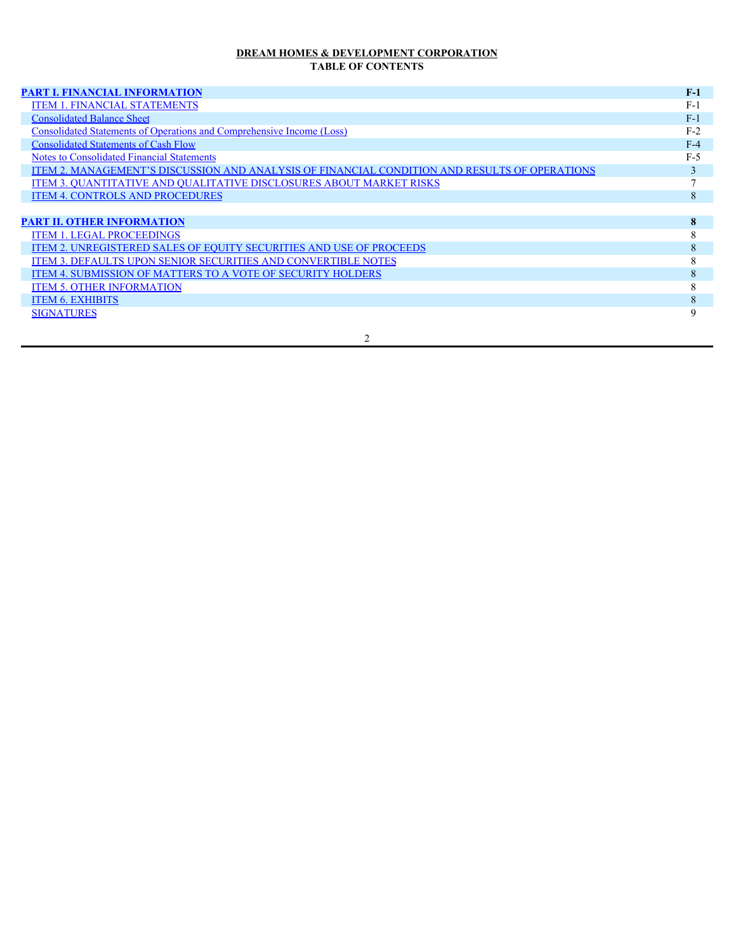#### **DREAM HOMES & DEVELOPMENT CORPORATION TABLE OF CONTENTS**

## **[PART I. FINANCIAL INFORMATION](#page-2-0) F-1** [ITEM 1. FINANCIAL STATEMENTS](#page-2-0) F-1<br>
Consolidated Balance Sheet F-1 [Consolidated Balance Sheet](#page-2-1) [Consolidated Statements of Operations and Comprehensive Income \(Loss\)](#page-3-0) F-2 **[Consolidated Statements of Cash Flow](#page-5-0)** F-4 [Notes to Consolidated Financial Statements](#page-6-0) F-5 [ITEM 2. MANAGEMENT'S DISCUSSION AND ANALYSIS OF FINANCIAL CONDITION AND RESULTS OF OPERATIONS](#page-19-0) 3 [ITEM 3. QUANTITATIVE AND QUALITATIVE DISCLOSURES ABOUT MARKET RISKS](#page-23-0) 7 **[ITEM 4. CONTROLS AND PROCEDURES](#page-24-0)** 8 **[PART II. OTHER INFORMATION](#page-24-1) 8** [ITEM 1. LEGAL PROCEEDINGS](#page-24-2) 8 [ITEM 2. UNREGISTERED SALES OF EQUITY SECURITIES AND USE OF PROCEEDS](#page-24-3) 8 [ITEM 3. DEFAULTS UPON SENIOR SECURITIES AND CONVERTIBLE NOTES](#page-24-4) 8 [ITEM 4. SUBMISSION OF MATTERS TO A VOTE OF SECURITY HOLDERS](#page-24-5) 8 [ITEM 5. OTHER INFORMATION](#page-24-6) 8 [ITEM 6. EXHIBITS](#page-24-7) 8 and the state of the state of the state of the state of the state of the state of the state of the state of the state of the state of the state of the state of the state of the state of the state of the [SIGNATURES](#page-25-0) 9

2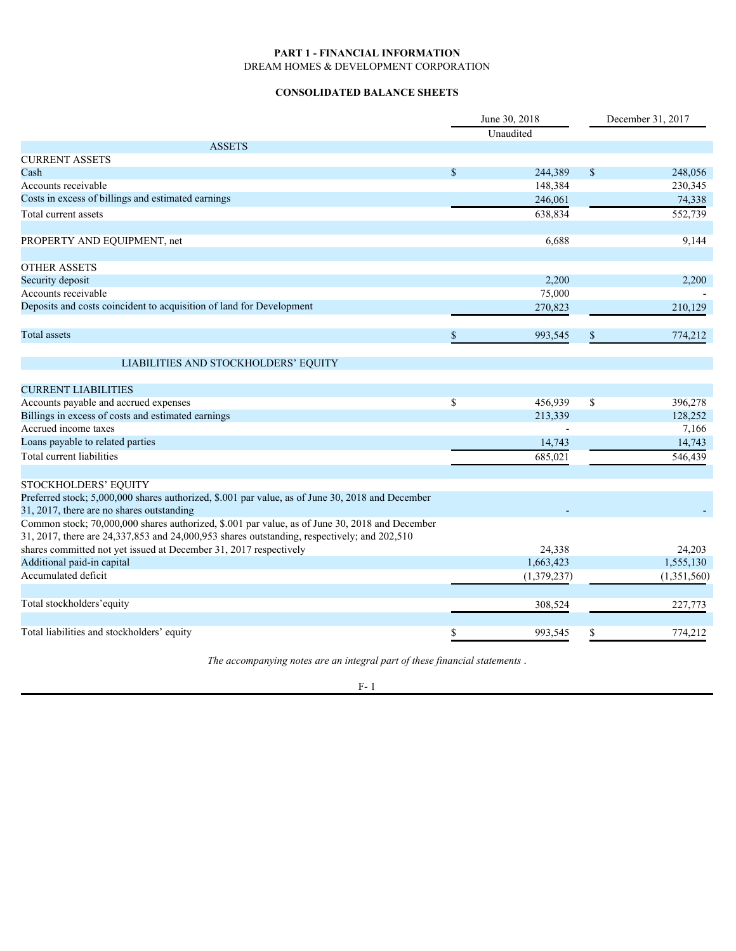## <span id="page-2-0"></span>**PART 1 - FINANCIAL INFORMATION** DREAM HOMES & DEVELOPMENT CORPORATION

#### <span id="page-2-1"></span>**CONSOLIDATED BALANCE SHEETS**

|                                                                                                  |              | June 30, 2018<br>Unaudited |              | December 31, 2017 |  |  |
|--------------------------------------------------------------------------------------------------|--------------|----------------------------|--------------|-------------------|--|--|
| <b>ASSETS</b>                                                                                    |              |                            |              |                   |  |  |
| <b>CURRENT ASSETS</b>                                                                            |              |                            |              |                   |  |  |
| Cash                                                                                             | $\mathbb{S}$ | 244,389                    | $\mathbb{S}$ | 248,056           |  |  |
| Accounts receivable                                                                              |              | 148,384                    |              | 230,345           |  |  |
| Costs in excess of billings and estimated earnings                                               |              | 246,061                    |              | 74,338            |  |  |
| Total current assets                                                                             |              | 638,834                    |              | 552,739           |  |  |
| PROPERTY AND EQUIPMENT, net                                                                      |              | 6,688                      |              | 9,144             |  |  |
| <b>OTHER ASSETS</b>                                                                              |              |                            |              |                   |  |  |
| Security deposit                                                                                 |              | 2,200                      |              | 2,200             |  |  |
| Accounts receivable                                                                              |              | 75,000                     |              |                   |  |  |
| Deposits and costs coincident to acquisition of land for Development                             |              | 270,823                    |              | 210,129           |  |  |
| <b>Total</b> assets                                                                              |              | 993,545                    |              | 774,212           |  |  |
| LIABILITIES AND STOCKHOLDERS' EQUITY                                                             |              |                            |              |                   |  |  |
| <b>CURRENT LIABILITIES</b>                                                                       |              |                            |              |                   |  |  |
| Accounts payable and accrued expenses                                                            | \$           | 456,939                    | \$           | 396,278           |  |  |
| Billings in excess of costs and estimated earnings                                               |              | 213,339                    |              | 128,252           |  |  |
| Accrued income taxes                                                                             |              |                            |              | 7,166             |  |  |
| Loans payable to related parties                                                                 |              | 14,743                     |              | 14,743            |  |  |
| Total current liabilities                                                                        |              | 685,021                    |              | 546,439           |  |  |
| STOCKHOLDERS' EQUITY                                                                             |              |                            |              |                   |  |  |
| Preferred stock; 5,000,000 shares authorized, \$.001 par value, as of June 30, 2018 and December |              |                            |              |                   |  |  |
| 31, 2017, there are no shares outstanding                                                        |              |                            |              |                   |  |  |
| Common stock; 70,000,000 shares authorized, \$.001 par value, as of June 30, 2018 and December   |              |                            |              |                   |  |  |
| 31, 2017, there are 24, 337, 853 and 24, 000, 953 shares outstanding, respectively; and 202, 510 |              |                            |              |                   |  |  |
| shares committed not yet issued at December 31, 2017 respectively                                |              | 24,338                     |              | 24,203            |  |  |
| Additional paid-in capital                                                                       |              | 1,663,423                  |              | 1,555,130         |  |  |
| Accumulated deficit                                                                              |              | (1,379,237)                |              | (1,351,560)       |  |  |
| Total stockholders'equity                                                                        |              | 308,524                    |              | 227,773           |  |  |
|                                                                                                  |              |                            |              |                   |  |  |
| Total liabilities and stockholders' equity                                                       |              | 993,545                    | S            | 774,212           |  |  |

*The accompanying notes are an integral part of these financial statements* .

F- 1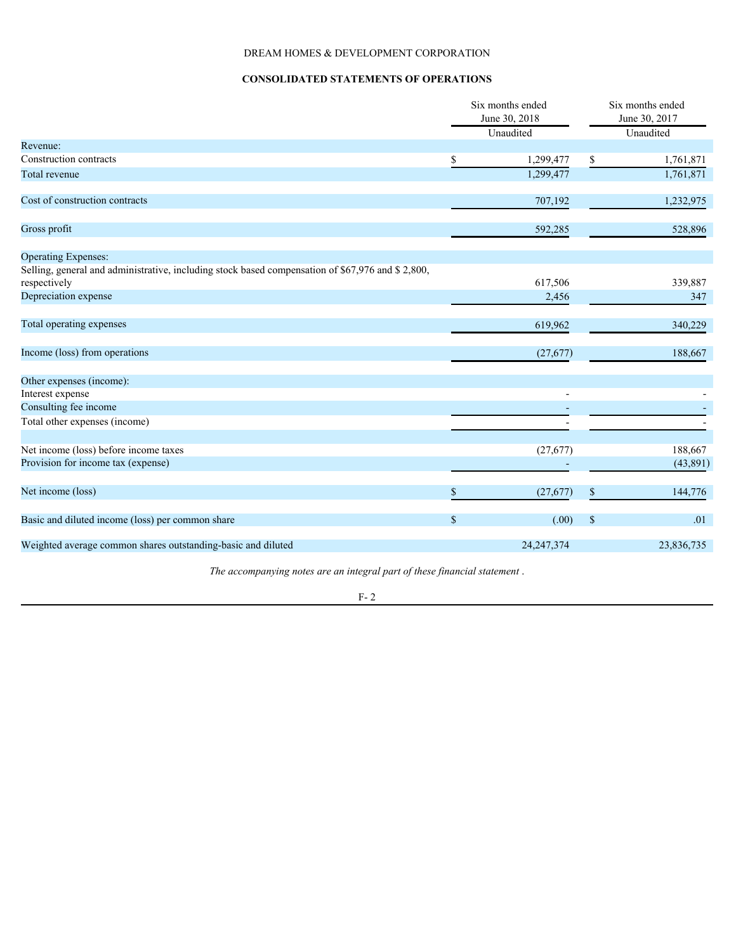## DREAM HOMES & DEVELOPMENT CORPORATION

## **CONSOLIDATED STATEMENTS OF OPERATIONS**

<span id="page-3-0"></span>

|                                                                                                                  |              | Six months ended<br>June 30, 2018<br>Unaudited |                        | Six months ended<br>June 30, 2017<br>Unaudited |  |  |
|------------------------------------------------------------------------------------------------------------------|--------------|------------------------------------------------|------------------------|------------------------------------------------|--|--|
| Revenue:                                                                                                         |              |                                                |                        |                                                |  |  |
| Construction contracts                                                                                           |              | 1,299,477                                      | <sup>\$</sup>          | 1,761,871                                      |  |  |
| Total revenue                                                                                                    |              | 1,299,477                                      |                        | 1,761,871                                      |  |  |
| Cost of construction contracts                                                                                   |              | 707,192                                        |                        | 1,232,975                                      |  |  |
| Gross profit                                                                                                     |              | 592,285                                        |                        | 528,896                                        |  |  |
| <b>Operating Expenses:</b>                                                                                       |              |                                                |                        |                                                |  |  |
| Selling, general and administrative, including stock based compensation of \$67,976 and \$2,800,<br>respectively |              | 617,506                                        |                        | 339,887                                        |  |  |
| Depreciation expense                                                                                             |              | 2,456                                          |                        | 347                                            |  |  |
| Total operating expenses                                                                                         |              | 619,962                                        |                        | 340,229                                        |  |  |
| Income (loss) from operations                                                                                    |              | (27,677)                                       |                        | 188,667                                        |  |  |
| Other expenses (income):                                                                                         |              |                                                |                        |                                                |  |  |
| Interest expense                                                                                                 |              |                                                |                        |                                                |  |  |
| Consulting fee income                                                                                            |              |                                                |                        |                                                |  |  |
| Total other expenses (income)                                                                                    |              |                                                |                        |                                                |  |  |
| Net income (loss) before income taxes                                                                            |              | (27, 677)                                      |                        | 188,667                                        |  |  |
| Provision for income tax (expense)                                                                               |              |                                                |                        | (43,891)                                       |  |  |
| Net income (loss)                                                                                                |              | (27,677)                                       |                        | 144,776                                        |  |  |
| Basic and diluted income (loss) per common share                                                                 | $\mathbb{S}$ | (.00)                                          | $\mathbf{\mathcal{S}}$ | .01                                            |  |  |
| Weighted average common shares outstanding-basic and diluted                                                     |              | 24, 247, 374                                   |                        | 23,836,735                                     |  |  |
|                                                                                                                  |              |                                                |                        |                                                |  |  |

*The accompanying notes are an integral part of these financial statement* .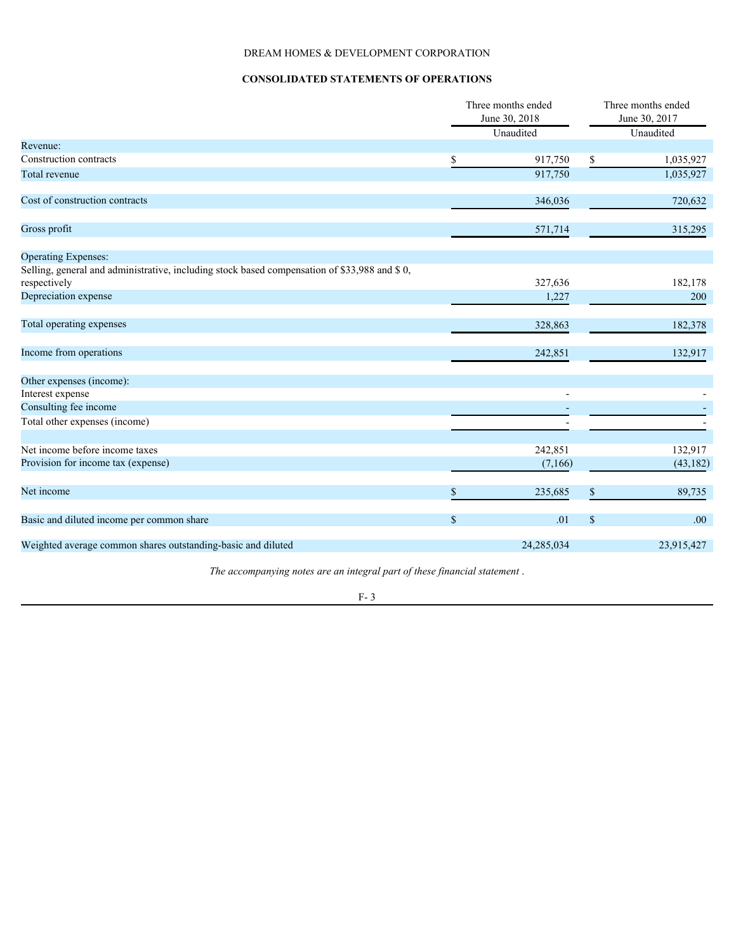## DREAM HOMES & DEVELOPMENT CORPORATION

## **CONSOLIDATED STATEMENTS OF OPERATIONS**

|                                                                                                              |                    | Three months ended<br>June 30, 2018<br>Unaudited |               | Three months ended<br>June 30, 2017<br>Unaudited |  |
|--------------------------------------------------------------------------------------------------------------|--------------------|--------------------------------------------------|---------------|--------------------------------------------------|--|
| Revenue:                                                                                                     |                    |                                                  |               |                                                  |  |
| Construction contracts                                                                                       |                    | 917,750                                          | $\mathbb{S}$  | 1,035,927                                        |  |
| Total revenue                                                                                                |                    | 917,750                                          |               | 1,035,927                                        |  |
|                                                                                                              |                    |                                                  |               |                                                  |  |
| Cost of construction contracts                                                                               |                    | 346,036                                          |               | 720,632                                          |  |
|                                                                                                              |                    |                                                  |               |                                                  |  |
| Gross profit                                                                                                 |                    | 571,714                                          |               | 315,295                                          |  |
|                                                                                                              |                    |                                                  |               |                                                  |  |
| <b>Operating Expenses:</b>                                                                                   |                    |                                                  |               |                                                  |  |
| Selling, general and administrative, including stock based compensation of \$33,988 and \$0,<br>respectively |                    | 327,636                                          |               | 182,178                                          |  |
| Depreciation expense                                                                                         |                    | 1,227                                            |               | 200                                              |  |
|                                                                                                              |                    |                                                  |               |                                                  |  |
| Total operating expenses                                                                                     |                    | 328,863                                          |               | 182,378                                          |  |
|                                                                                                              |                    |                                                  |               |                                                  |  |
| Income from operations                                                                                       |                    | 242,851                                          |               | 132,917                                          |  |
|                                                                                                              |                    |                                                  |               |                                                  |  |
| Other expenses (income):                                                                                     |                    |                                                  |               |                                                  |  |
| Interest expense                                                                                             |                    |                                                  |               |                                                  |  |
| Consulting fee income                                                                                        |                    |                                                  |               |                                                  |  |
| Total other expenses (income)                                                                                |                    |                                                  |               |                                                  |  |
|                                                                                                              |                    |                                                  |               |                                                  |  |
| Net income before income taxes                                                                               |                    | 242,851                                          |               | 132,917                                          |  |
| Provision for income tax (expense)                                                                           |                    | (7,166)                                          |               | (43, 182)                                        |  |
| Net income                                                                                                   |                    | 235,685                                          | S             | 89,735                                           |  |
|                                                                                                              |                    |                                                  |               |                                                  |  |
| Basic and diluted income per common share                                                                    | $\mathbf{\hat{S}}$ | .01                                              | <sup>\$</sup> | .00.                                             |  |
|                                                                                                              |                    |                                                  |               |                                                  |  |
| Weighted average common shares outstanding-basic and diluted                                                 |                    | 24,285,034                                       |               | 23,915,427                                       |  |
|                                                                                                              |                    |                                                  |               |                                                  |  |

*The accompanying notes are an integral part of these financial statement* .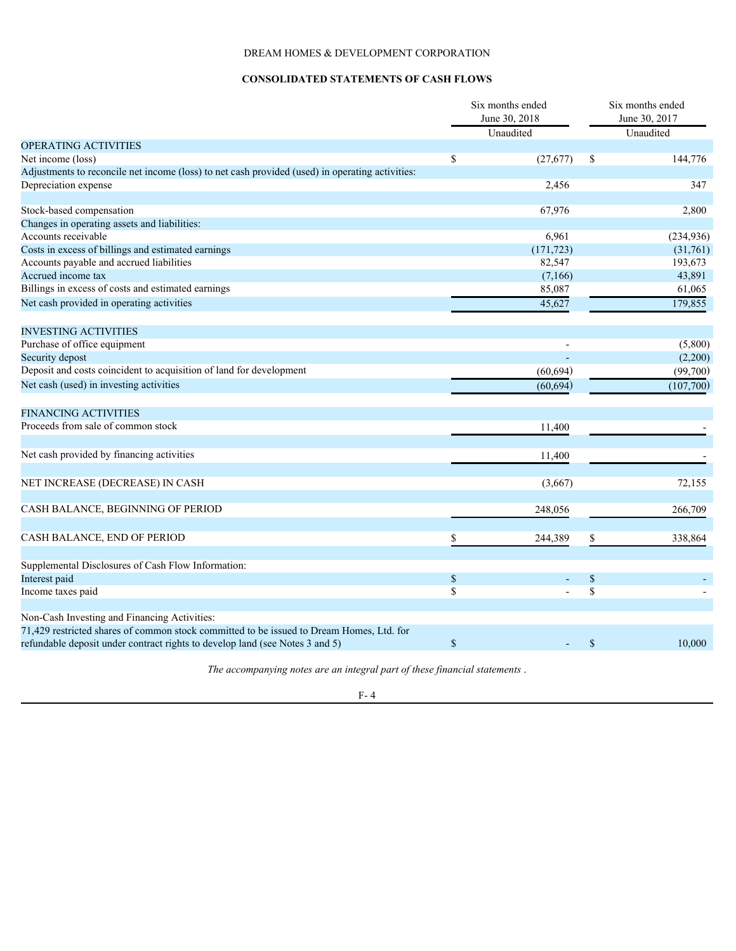## DREAM HOMES & DEVELOPMENT CORPORATION

## <span id="page-5-0"></span>**CONSOLIDATED STATEMENTS OF CASH FLOWS**

|                                                                                                 |              | Six months ended<br>June 30, 2018<br>Unaudited | Six months ended<br>June 30, 2017<br>Unaudited |            |  |
|-------------------------------------------------------------------------------------------------|--------------|------------------------------------------------|------------------------------------------------|------------|--|
| OPERATING ACTIVITIES                                                                            |              |                                                |                                                |            |  |
| Net income (loss)                                                                               | \$           | (27,677)                                       | -S                                             | 144,776    |  |
| Adjustments to reconcile net income (loss) to net cash provided (used) in operating activities: |              |                                                |                                                |            |  |
| Depreciation expense                                                                            |              | 2,456                                          |                                                | 347        |  |
|                                                                                                 |              |                                                |                                                |            |  |
| Stock-based compensation                                                                        |              | 67,976                                         |                                                | 2,800      |  |
| Changes in operating assets and liabilities:                                                    |              |                                                |                                                |            |  |
| Accounts receivable                                                                             |              | 6,961                                          |                                                | (234, 936) |  |
| Costs in excess of billings and estimated earnings                                              |              | (171, 723)                                     |                                                | (31,761)   |  |
| Accounts payable and accrued liabilities                                                        |              | 82,547                                         |                                                | 193,673    |  |
| Accrued income tax                                                                              |              | (7,166)                                        |                                                | 43,891     |  |
| Billings in excess of costs and estimated earnings                                              |              | 85,087                                         |                                                | 61,065     |  |
| Net cash provided in operating activities                                                       |              | 45,627                                         |                                                | 179,855    |  |
|                                                                                                 |              |                                                |                                                |            |  |
| <b>INVESTING ACTIVITIES</b>                                                                     |              |                                                |                                                |            |  |
| Purchase of office equipment                                                                    |              |                                                |                                                | (5,800)    |  |
| Security depost                                                                                 |              |                                                |                                                | (2,200)    |  |
| Deposit and costs coincident to acquisition of land for development                             |              | (60, 694)                                      |                                                | (99,700)   |  |
| Net cash (used) in investing activities                                                         |              | (60, 694)                                      |                                                | (107,700)  |  |
|                                                                                                 |              |                                                |                                                |            |  |
| <b>FINANCING ACTIVITIES</b>                                                                     |              |                                                |                                                |            |  |
| Proceeds from sale of common stock                                                              |              | 11,400                                         |                                                |            |  |
|                                                                                                 |              |                                                |                                                |            |  |
| Net cash provided by financing activities                                                       |              | 11,400                                         |                                                |            |  |
|                                                                                                 |              |                                                |                                                |            |  |
|                                                                                                 |              |                                                |                                                |            |  |
| NET INCREASE (DECREASE) IN CASH                                                                 |              | (3,667)                                        |                                                | 72,155     |  |
| CASH BALANCE, BEGINNING OF PERIOD                                                               |              | 248,056                                        |                                                | 266,709    |  |
|                                                                                                 |              |                                                |                                                |            |  |
|                                                                                                 |              |                                                |                                                |            |  |
| CASH BALANCE, END OF PERIOD                                                                     |              | 244,389                                        | S                                              | 338,864    |  |
|                                                                                                 |              |                                                |                                                |            |  |
| Supplemental Disclosures of Cash Flow Information:                                              |              |                                                |                                                |            |  |
| Interest paid                                                                                   | $\mathbb{S}$ |                                                | $\mathbb{S}$                                   |            |  |
| Income taxes paid                                                                               | \$           |                                                | $\mathbb{S}$                                   |            |  |
|                                                                                                 |              |                                                |                                                |            |  |
| Non-Cash Investing and Financing Activities:                                                    |              |                                                |                                                |            |  |
| 71,429 restricted shares of common stock committed to be issued to Dream Homes, Ltd. for        |              |                                                |                                                |            |  |
| refundable deposit under contract rights to develop land (see Notes 3 and 5)                    | $\mathbf{s}$ |                                                | $\mathbf S$                                    | 10.000     |  |
|                                                                                                 |              |                                                |                                                |            |  |

*The accompanying notes are an integral part of these financial statements* .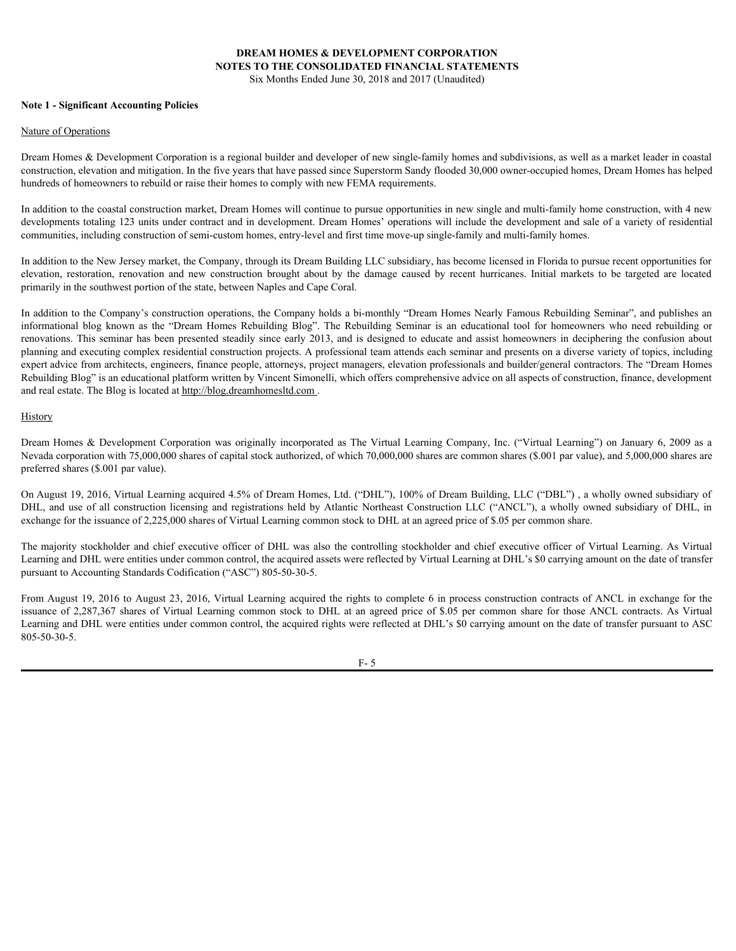## <span id="page-6-0"></span>**DREAM HOMES & DEVELOPMENT CORPORATION NOTES TO THE CONSOLIDATED FINANCIAL STATEMENTS**

Six Months Ended June 30, 2018 and 2017 (Unaudited)

#### **Note 1 - Significant Accounting Policies**

#### Nature of Operations

Dream Homes & Development Corporation is a regional builder and developer of new single-family homes and subdivisions, as well as a market leader in coastal construction, elevation and mitigation. In the five years that have passed since Superstorm Sandy flooded 30,000 owner-occupied homes, Dream Homes has helped hundreds of homeowners to rebuild or raise their homes to comply with new FEMA requirements.

In addition to the coastal construction market, Dream Homes will continue to pursue opportunities in new single and multi-family home construction, with 4 new developments totaling 123 units under contract and in development. Dream Homes' operations will include the development and sale of a variety of residential communities, including construction of semi-custom homes, entry-level and first time move-up single-family and multi-family homes.

In addition to the New Jersey market, the Company, through its Dream Building LLC subsidiary, has become licensed in Florida to pursue recent opportunities for primarily in the southwest portion of the state, between Naples and Cape Coral.

**EXAM HOMES & DEVELOPMENT CORPORATION**<br>
SERVICENT SOFTINGT STON THE CONSOLIDATED PYRANCLAL STATEMENTS<br>
Note 1 - Significant Accounting Policies<br>
Name of Operations<br>
Name of Depentions<br>
Name of Depentions and Dependent Cor In addition to the Company's construction operations, the Company holds a bi-monthly "Dream Homes Nearly Famous Rebuilding Seminar", and publishes an **IDREAM HOMES & DEVELOPMENT CORPORATION**<br>
SIX NORTHE CONSOLIDATED FINANCIAL STATEMENTS<br>
Note 1 - Significant Accounting Policies<br>
Dream Homes & Development Corporation is a regional builder and developer of new single-fami **EXAM HOMES & DEVELOPMENT CORFORATION**<br>
SIX Months Ended June 20, 2013 and 2017 (Unuadited)<br>
Nature of Operations<br>
Nature of Operations<br>
Nature of Development Corporation is a regional builder and developer of new single-f planning and executing complex residential construction projects. A professional team attends each seminar and presents on a diverse variety of topics, including expert advice from architects, engineers, finance people, attorneys, project managers, elevation professionals and builder/general contractors. The "Dream Homes Rebuilding Blog" is an educational platform written by Vincent Simonelli, which offers comprehensive advice on all aspects of construction, finance, development and real estate. The Blog is located at http://blog.dreamhomesltd.com. **DREAM HOMES A DEVELOPMENT CORPORATION CORPORATION**<br> **Note 1 - Significant Accounting Pulicies**<br> **SEX Months Ended June 30, 2018 and 2017 (Unnealite)**<br> **Neura of Operations**<br> **Neura of Development Corporation is a regional** Numr at Operators<br>
Divant House & Development Corporation is a regional builder and developer of are window induced and registration, December 1000 and the proporation in the Development and it is a market increasing the The matter of Decelaration is a report of the stockholder and decelare of new virtual chief party in the observation, and the stockholder the controlling the controlling the controlling the controlling of the controlling decolvenets, tushing 13.2 units under our main and development them investigates our lived, the development and sale of  $\alpha$ 's surely of societing the price of the company in the start of the company in the start of the co

#### History

Nevada corporation with 75,000,000 shares of capital stock authorized, of which 70,000,000 shares are common shares (\$.001 par value), and 5,000,000 shares are preferred shares (\$.001 par value).

On August 19, 2016, Virtual Learning acquired 4.5% of Dream Homes, Ltd. ("DHL"), 100% of Dream Building, LLC ("DBL") , a wholly owned subsidiary of exchange for the issuance of 2,225,000 shares of Virtual Learning common stock to DHL at an agreed price of \$.05 per common share.

Learning and DHL were entities under common control, the acquired assets were reflected by Virtual Learning at DHL's \$0 carrying amount on the date of transfer pursuant to Accounting Standards Codification ("ASC") 805-50-30-5.

From August 19, 2016 to August 23, 2016, Virtual Learning acquired the rights to complete 6 in process construction contracts of ANCL in exchange for the Learning and DHL were entities under common control, the acquired rights were reflected at DHL's \$0 carrying amount on the date of transfer pursuant to ASC 805-50-30-5.

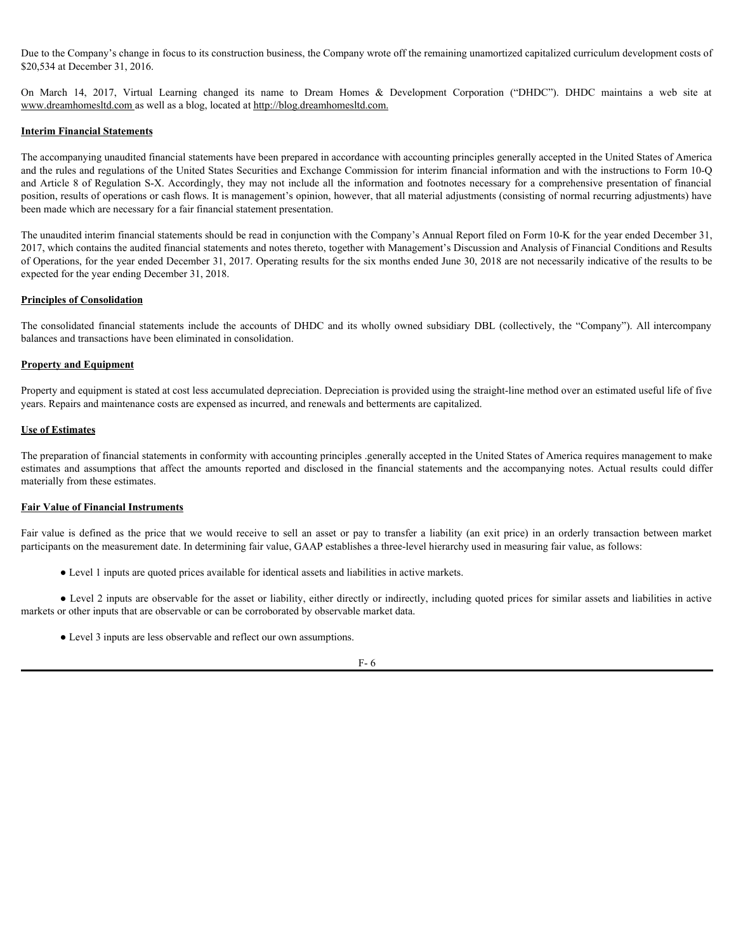Due to the Company's change in focus to its construction business, the Company wrote off the remaining unamortized capitalized curriculum development costs of \$20,534 at December 31, 2016.

www.dreamhomesltd.com as well as a blog, located at http://blog.dreamhomesltd.com.

#### **Interim Financial Statements**

Due to the Company's change in focus to its construction business, the Company wrote off the remaining unamortized capitalized curriculum development costs of \$20,534 at December 31, 2016.<br>On March 14, 2017, Virtual Learni The accompanying unaudited financial statements have been prepared in accordance with accounting principles generally accepted in the United States of America and the rules and regulations of the United States Securities and Exchange Commission for interim financial information and with the instructions to Form 10-Q and Article 8 of Regulation S-X. Accordingly, they may not include all the information and footnotes necessary for a comprehensive presentation of financial position, results of operations or cash flows. It is management's opinion, however, that all material adjustments (consisting of normal recurring adjustments) have been made which are necessary for a fair financial statement presentation. Due to the Company's change in focus to its construction business, the Company wrote of the remaining unamotrized capitalized curriculum development costs of 0.0.17%. VHDC considerations at well as a biog, locard at http:/ For the stimate and metachine and consider the stimate of the continents and the metachine of the continents in the statement of the statement of the statement of the statement of the statement of the statement of the stat The accompanying unadited function statements have been prepared in accordance with accompting pricely<br>lead the rales and explations of the Unicols Stere Secondiction and Edentates of Commission function functions and wit

The unaudited interim financial statements should be read in conjunction with the Company's Annual Report filed on Form 10-K for the year ended December 31, 2017, which contains the audited financial statements and notes thereto, together with Management's Discussion and Analysis of Financial Conditions and Results of Operations, for the year ended December 31, 2017. Operating results for the six months ended June 30, 2018 are not necessarily indicative of the results to be expected for the year ending December 31, 2018.

#### **Principles of Consolidation**

balances and transactions have been eliminated in consolidation.

#### **Property and Equipment**

Property and equipment is stated at cost less accumulated depreciation. Depreciation is provided using the straight-line method over an estimated useful life of five years. Repairs and maintenance costs are expensed as incurred, and renewals and betterments are capitalized.

#### **Use of Estimates**

The preparation of financial statements in conformity with accounting principles .generally accepted in the United States of America requires management to make materially from these estimates.

#### **Fair Value of Financial Instruments**

participants on the measurement date. In determining fair value, GAAP establishes a three-level hierarchy used in measuring fair value, as follows:

● Level 1 inputs are quoted prices available for identical assets and liabilities in active markets.

● Level 2 inputs are observable for the asset or liability, either directly or indirectly, including quoted prices for similar assets and liabilities in active markets or other inputs that are observable or can be corroborated by observable market data.

• Level 3 inputs are less observable and reflect our own assumptions.

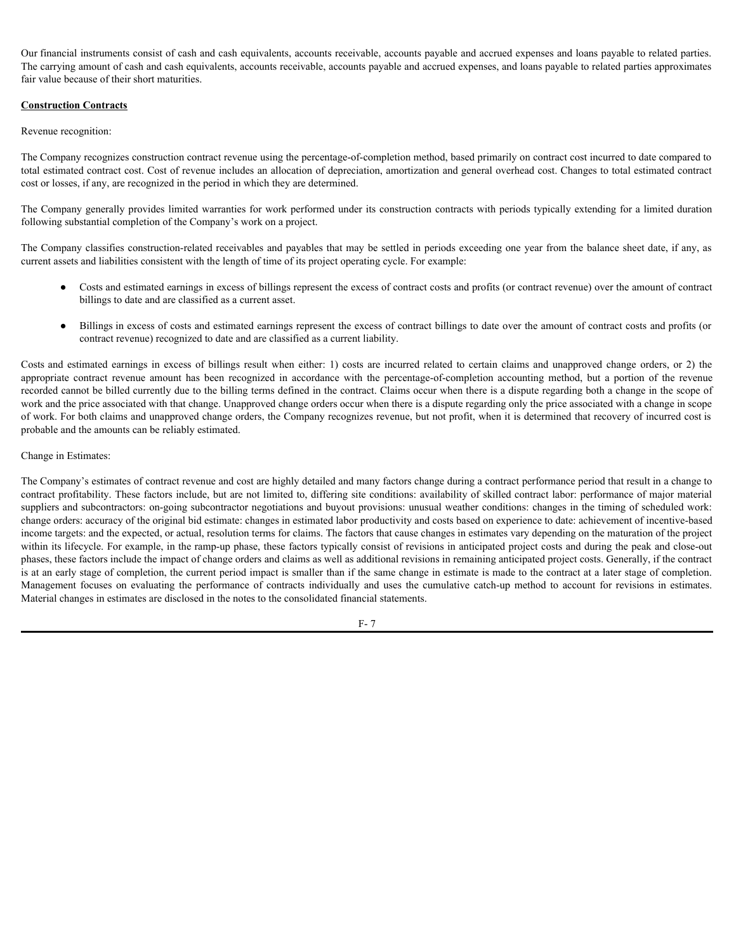Our financial instruments consist of cash and cash equivalents, accounts receivable, accounts payable and accrued expenses and loans payable to related parties. The carrying amount of cash and cash equivalents, accounts receivable, accounts payable and accrued expenses, and loans payable to related parties approximates fair value because of their short maturities.

#### **Construction Contracts**

#### Revenue recognition:

The Company recognizes construction contract revenue using the percentage-of-completion method, based primarily on contract cost incurred to date compared to total estimated contract cost. Cost of revenue includes an allocation of depreciation, amortization and general overhead cost. Changes to total estimated contract cost or losses, if any, are recognized in the period in which they are determined.

The Company generally provides limited warranties for work performed under its construction contracts with periods typically extending for a limited duration following substantial completion of the Company's work on a project.

The Company classifies construction-related receivables and payables that may be settled in periods exceeding one year from the balance sheet date, if any, as current assets and liabilities consistent with the length of time of its project operating cycle. For example:

- Costs and estimated earnings in excess of billings represent the excess of contract costs and profits (or contract revenue) over the amount of contract billings to date and are classified as a current asset.
- Billings in excess of costs and estimated earnings represent the excess of contract billings to date over the amount of contract costs and profits (or contract revenue) recognized to date and are classified as a current liability.

Our francisk instrument cookiet of earls and earls equivalents, accounts receivable, accounts payable and accound experses, and learns a payable to related particles.<br>The comparison of reals and earls equivalents, accounts the financial institutions consist of cash and cash equivalents, accounts receivable, accounts poyable and accorded experime and the propriate in the company amount of the company amount of the company amount of the compan recorded cannot be billed currently due to the billing terms defined in the contract. Claims occur when there is a dispute regarding both a change in the scope of work and the price associated with that change. Unapproved change orders occur when there is a dispute regarding only the price associated with a change in scope of work. For both claims and unapproved change orders, the Company recognizes revenue, but not profit, when it is determined that recovery of incurred cost is probable and the amounts can be reliably estimated.

#### Change in Estimates:

The Company's estimates of contract revenue and cost are highly detailed and many factors change during a contract performance period that result in a change to contract profitability. These factors include, but are not limited to, differing site conditions: availability of skilled contract labor: performance of major material suppliers and subcontractors: on-going subcontractor negotiations and buyout provisions: unusual weather conditions: changes in the timing of scheduled work: change orders: accuracy of the original bid estimate: changes in estimated labor productivity and costs based on experience to date: achievement of incentive-based income targets: and the expected, or actual, resolution terms for claims. The factors that cause changes in estimates vary depending on the maturation of the project within its lifecycle. For example, in the ramp-up phase, these factors typically consist of revisions in anticipated project costs and during the peak and close-out phases, these factors include the impact of change orders and claims as well as additional revisions in remaining anticipated project costs. Generally, if the contract is at an early stage of completion, the current period impact is smaller than if the same change in estimate is made to the contract at a later stage of completion. The Company generally provides limited woments: for work performed under it construction contracts with periodic projection of the Company standard control of the Company is one to a propertie. The matter is a performed t Material changes in estimates are disclosed in the notes to the consolidated financial statements.

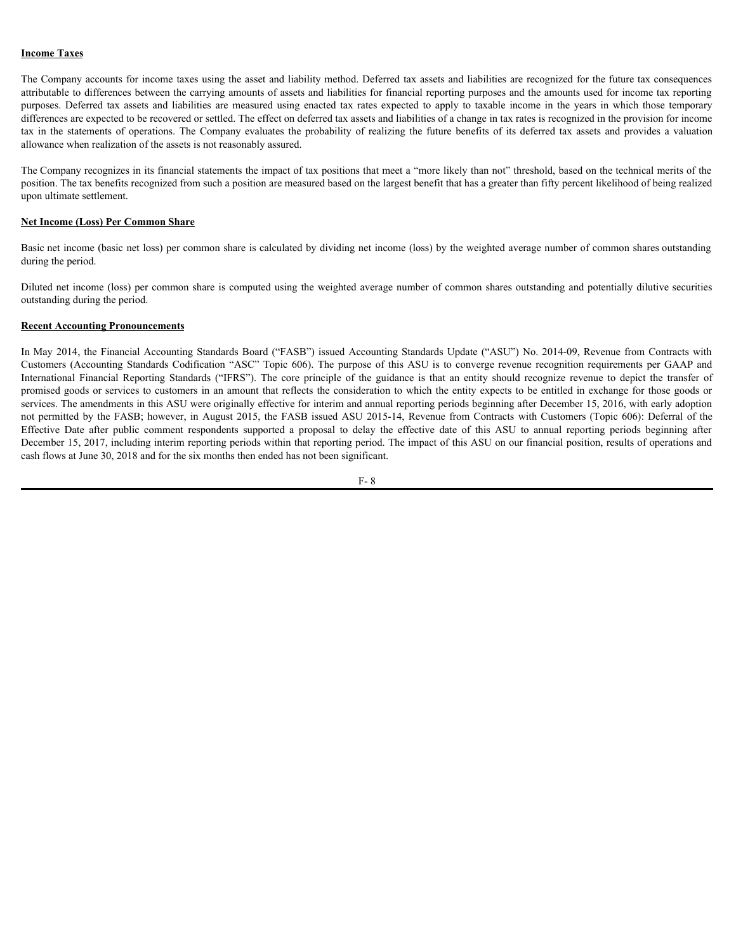#### **Income Taxes**

The Company accounts for income taxes using the asset and liability method. Deferred tax assets and liabilities are recognized for the future tax consequences attributable to differences between the carrying amounts of assets and liabilities for financial reporting purposes and the amounts used for income tax reporting **Income Taxes**<br>The Company accounts for income taxes using the asset and liability method. Deferred tax assets and liabilities are recognized for the future tax consequences<br>attributable to differences between the carrying differences are expected to be recovered or settled. The effect on deferred tax assets and liabilities of a change in tax rates is recognized in the provision for income **Income Taxes**<br>The Company accounts for income taxes using the asset and liability method. Deferred tax assets and liabilities are recognized for the future tax consequences<br>attributable to differences between the carrying allowance when realization of the assets is not reasonably assured.

The Company recognizes in its financial statements the impact of tax positions that meet a "more likely than not" threshold, based on the technical merits of the position. The tax benefits recognized from such a position are measured based on the largest benefit that has a greater than fifty percent likelihood of being realized upon ultimate settlement.

#### **Net Income (Loss) Per Common Share**

Basic net income (basic net loss) per common share is calculated by dividing net income (loss) by the weighted average number of common shares outstanding during the period.

Diluted net income (loss) per common share is computed using the weighted average number of common shares outstanding and potentially dilutive securities outstanding during the period.

#### **Recent Accounting Pronouncements**

In May 2014, the Financial Accounting Standards Board ("FASB") issued Accounting Standards Update ("ASU") No. 2014-09, Revenue from Contracts with **The Corpany accounts for income taxes** using the asset and lability medied. Deferred as assets and labilities are respectively for future into consequences between the convergences and the medium of the convergence of con International Financial Reporting Standards CFRS"). The core principle of the guidal report in Financial Standards in the core of the core of the core of the core of the core of the core of the core of the core of the stan promised goods or services to customers in an amount that reflects the consideration to which the entity expects to be entitled in exchange for those goods or services. The amendments in this ASU were originally effective for interim and annual reporting periods beginning after December 15, 2016, with early adoption **Income Taxes**<br>The Company accounts for income taxes using the start and liability perhided on financial expertise contracts and includine permone and contracts permitted by the contracts with customer in the contracts and **IEFFECTIVE CONDUCTERS**<br>The Company arounds for income taxes using the anset and anoising and and the foreign the system peripherical to define the comment of the comment of the comment of the effect of the effect of defi December 15, 2017, including interim reporting periods within that reporting period. The impact of this ASU on our financial position, results of operations and cash flows at June 30, 2018 and for the six months then ended has not been significant.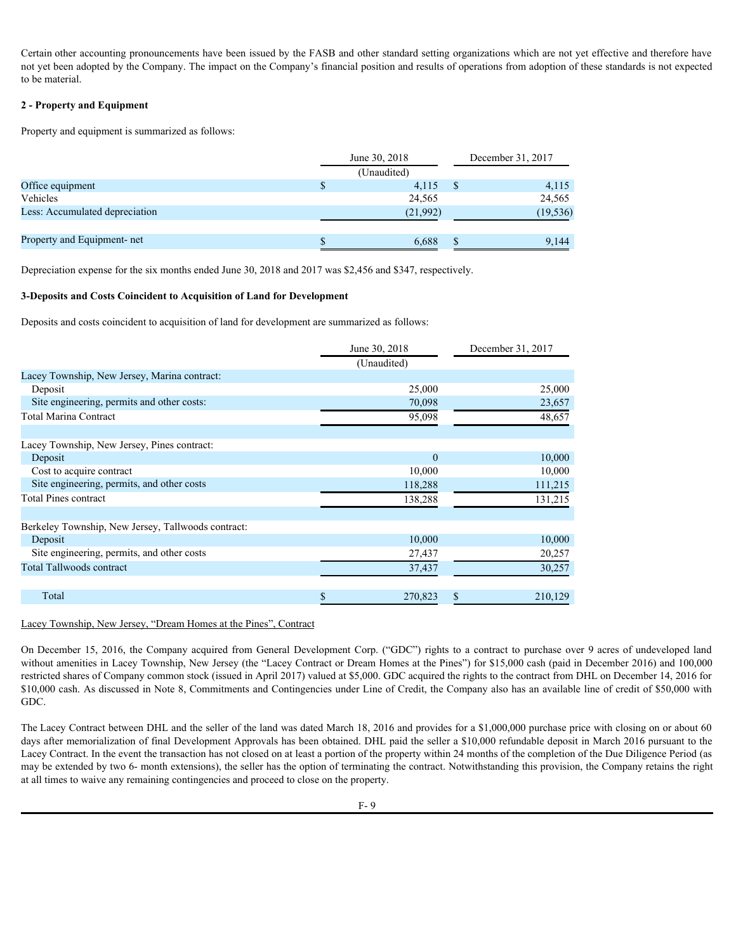Certain other accounting pronouncements have been issued by the FASB and other standard setting organizations which are not yet effective and therefore have not yet been adopted by the Company. The impact on the Company's financial position and results of operations from adoption of these standards is not expected to be material.

#### **2 - Property and Equipment**

Property and equipment is summarized as follows:

| June 30, 2018 |             | December 31, 2017 |  |
|---------------|-------------|-------------------|--|
|               |             |                   |  |
| 4,115         |             | 4,115             |  |
| 24,565        |             | 24,565            |  |
| (21,992)      |             | (19, 536)         |  |
|               |             |                   |  |
| 6,688         |             | 9,144             |  |
|               | (Unaudited) |                   |  |

#### **3-Deposits and Costs Coincident to Acquisition of Land for Development**

|                                                                  |                                                                        | December 31, 2017                                                                                                                                                                                                                                                                     |
|------------------------------------------------------------------|------------------------------------------------------------------------|---------------------------------------------------------------------------------------------------------------------------------------------------------------------------------------------------------------------------------------------------------------------------------------|
|                                                                  |                                                                        |                                                                                                                                                                                                                                                                                       |
|                                                                  |                                                                        | 25,000                                                                                                                                                                                                                                                                                |
|                                                                  |                                                                        | 23,657                                                                                                                                                                                                                                                                                |
|                                                                  |                                                                        | 48,657                                                                                                                                                                                                                                                                                |
|                                                                  |                                                                        |                                                                                                                                                                                                                                                                                       |
|                                                                  |                                                                        |                                                                                                                                                                                                                                                                                       |
|                                                                  | $\theta$                                                               | 10,000                                                                                                                                                                                                                                                                                |
|                                                                  | 10,000                                                                 | 10,000                                                                                                                                                                                                                                                                                |
|                                                                  | 118,288                                                                | 111,215                                                                                                                                                                                                                                                                               |
|                                                                  | 138,288                                                                | 131,215                                                                                                                                                                                                                                                                               |
|                                                                  |                                                                        |                                                                                                                                                                                                                                                                                       |
|                                                                  |                                                                        |                                                                                                                                                                                                                                                                                       |
|                                                                  | 10,000                                                                 | 10,000                                                                                                                                                                                                                                                                                |
|                                                                  | 27,437                                                                 | 20,257                                                                                                                                                                                                                                                                                |
|                                                                  | 37,437                                                                 | 30,257                                                                                                                                                                                                                                                                                |
|                                                                  |                                                                        |                                                                                                                                                                                                                                                                                       |
|                                                                  |                                                                        | 210,129                                                                                                                                                                                                                                                                               |
| Lacey Township, New Jersey, "Dream Homes at the Pines", Contract |                                                                        |                                                                                                                                                                                                                                                                                       |
|                                                                  | 3-Deposits and Costs Coincident to Acquisition of Land for Development | Depreciation expense for the six months ended June 30, 2018 and 2017 was \$2,456 and \$347, respectively.<br>Deposits and costs coincident to acquisition of land for development are summarized as follows:<br>June 30, 2018<br>(Unaudited)<br>25,000<br>70,098<br>95,098<br>270,823 |

The Lacey Contract between DHL and the seller of the land was dated March 18, 2016 and provides for a \$1,000,000 purchase price with closing on or about 60 days after memorialization of final Development Approvals has been obtained. DHL paid the seller a \$10,000 refundable deposit in March 2016 pursuant to the Lacey Contract. In the event the transaction has not closed on at least a portion of the property within 24 months of the completion of the Due Diligence Period (as may be extended by two 6- month extensions), the seller has the option of terminating the contract. Notwithstanding this provision, the Company retains the right at all times to waive any remaining contingencies and proceed to close on the property.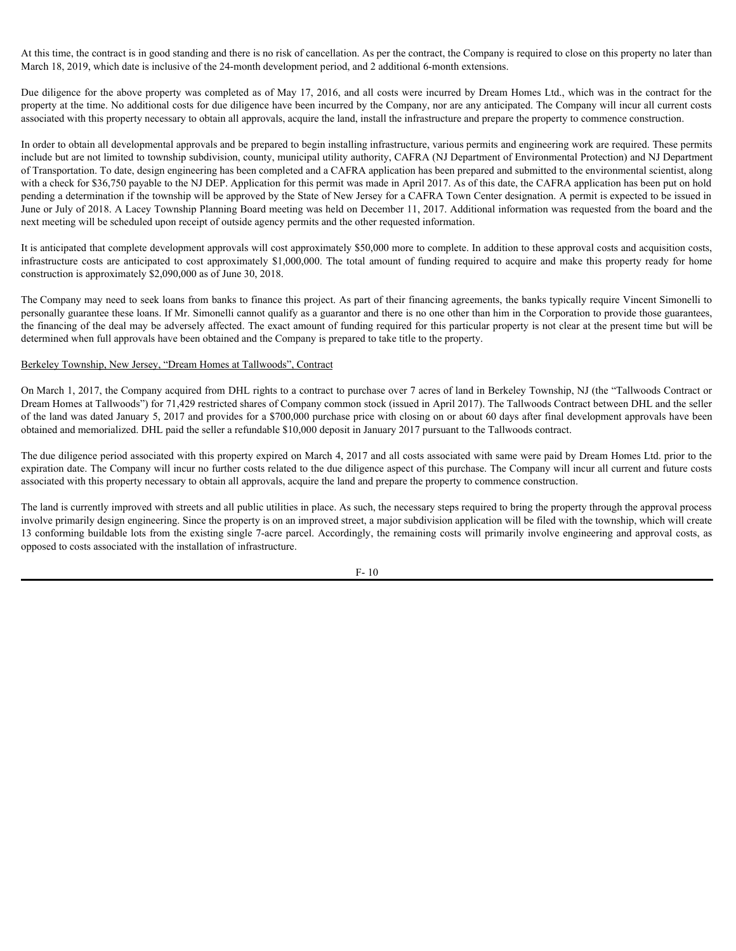At this time, the contract is in good standing and there is no risk of cancellation. As per the contract, the Company is required to close on this property no later than March 18, 2019, which date is inclusive of the 24-month development period, and 2 additional 6-month extensions.

Due diligence for the above property was completed as of May 17, 2016, and all costs were incurred by Dream Homes Ltd., which was in the contract for the property at the time. No additional costs for due diligence have been incurred by the Company, nor are any anticipated. The Company will incur all current costs associated with this property necessary to obtain all approvals, acquire the land, install the infrastructure and prepare the property to commence construction.

In order to obtain all developmental approvals and be prepared to begin installing infrastructure, various permits and engineering work are required. These permits include but are not limited to township subdivision, county, municipal utility authority, CAFRA (NJ Department of Environmental Protection) and NJ Department of Transportation. To date, design engineering has been completed and a CAFRA application has been prepared and submitted to the environmental scientist, along with a check for \$36,750 payable to the NJ DEP. Application for this permit was made in April 2017. As of this date, the CAFRA application has been put on hold pending a determination if the township will be approved by the State of New Jersey for a CAFRA Town Center designation. A permit is expected to be issued in June or July of 2018. A Lacey Township Planning Board meeting was held on December 11, 2017. Additional information was requested from the board and the next meeting will be scheduled upon receipt of outside agency permits and the other requested information. At this time, the contract is in good standing and there is no risk of cancellation. As per the contract, the Company is required to close on this property was later than March 18, 2019, which date is nelusive of the 24-m

It is anticipated that complete development approvals will cost approximately \$50,000 more to complete. In addition to these approval costs and acquisition costs, construction is approximately \$2,090,000 as of June 30, 2018.

The Company may need to seek loans from banks to finance this project. As part of their financing agreements, the banks typically require Vincent Simonelli to personally guarantee these loans. If Mr. Simonelli cannot qualify as a guarantor and there is no one other than him in the Corporation to provide those guarantees, the financing of the deal may be adversely affected. The exact amount of funding required for this particular property is not clear at the present time but will be determined when full approvals have been obtained and the Company is prepared to take title to the property.

#### Berkeley Township, New Jersey, "Dream Homes at Tallwoods", Contract

On March 1, 2017, the Company acquired from DHL rights to a contract to purchase over 7 acres of land in Berkeley Township, NJ (the "Tallwoods Contract or Dream Homes at Tallwoods") for 71,429 restricted shares of Company common stock (issued in April 2017). The Tallwoods Contract between DHL and the seller of the land was dated January 5, 2017 and provides for a \$700,000 purchase price with closing on or about 60 days after final development approvals have been obtained and memorialized. DHL paid the seller a refundable \$10,000 deposit in January 2017 pursuant to the Tallwoods contract.

The due diligence period associated with this property expired on March 4, 2017 and all costs associated with same were paid by Dream Homes Ltd. prior to the expiration date. The Company will incur no further costs related to the due diligence aspect of this purchase. The Company will incur all current and future costs associated with this property necessary to obtain all approvals, acquire the land and prepare the property to commence construction.

The land is currently improved with streets and all public utilities in place. As such, the necessary steps required to bring the property through the approval process involve primarily design engineering. Since the property is on an improved street, a major subdivision application will be filed with the township, which will create 13 conforming buildable lots from the existing single 7-acre parcel. Accordingly, the remaining costs will primarily involve engineering and approval costs, as opposed to costs associated with the installation of infrastructure.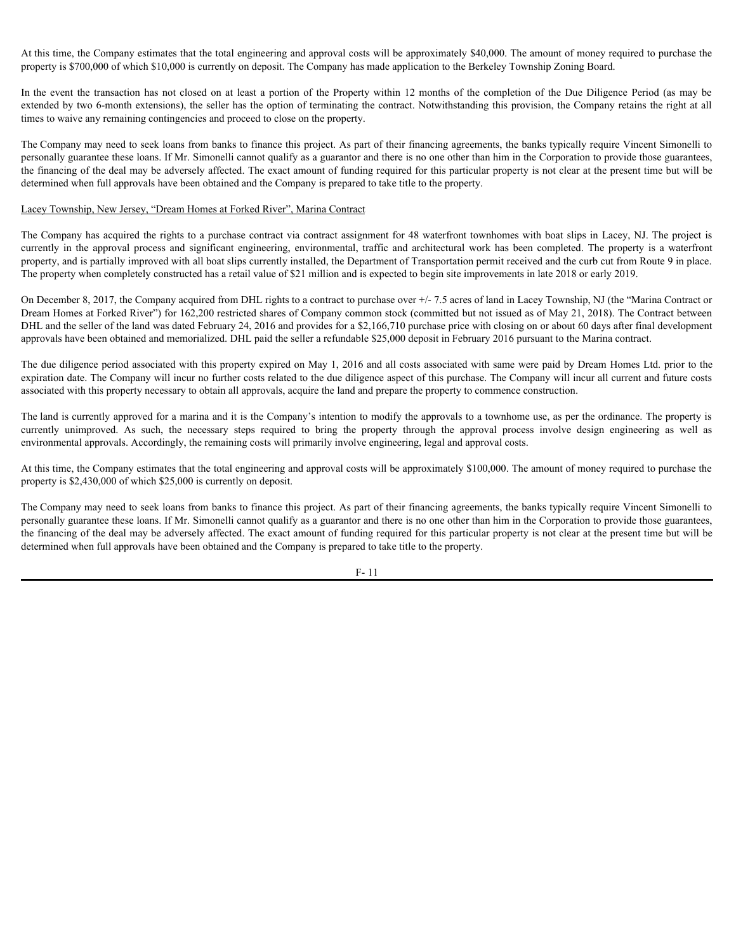At this time, the Company estimates that the total engineering and approval costs will be approximately \$40,000. The amount of money required to purchase the property is \$700,000 of which \$10,000 is currently on deposit. The Company has made application to the Berkeley Township Zoning Board.

extended by two 6-month extensions), the seller has the option of terminating the contract. Notwithstanding this provision, the Company retains the right at all times to waive any remaining contingencies and proceed to close on the property.

At this time, the Company estimates that the total engineering and approval costs will be approximately \$40,000. The amount of money required to purchase the property is \$700,000 of which \$10,000 is currently on deposit. T The Company may need to seek loans from banks to finance this project. As part of their financing agreements, the banks typically require Vincent Simonelli to personally guarantee these loans. If Mr. Simonelli cannot qualify as a guarantor and there is no one other than him in the Corporation to provide those guarantees, the financing of the deal may be adversely affected. The exact amount of funding required for this particular property is not clear at the present time but will be determined when full approvals have been obtained and the Company is prepared to take title to the property. At this time, the Company estimates that the total engineering and approval costs will be approximately \$40,000. The amount of money required to purchase the property is \$700,000 of which \$10,000 is currently on depost. T At this time, the Conquery estimates that the total regineering and sproval constant will be approximately 580,000. The amount of monog required to property is 500,000, the constant of the formula provided by the followed

#### Lacey Township, New Jersey, "Dream Homes at Forked River", Marina Contract

The Company has acquired the rights to a purchase contract via contract assignment for 48 waterfront townhomes with boat slips in Lacey, NJ. The project is property, and is partially improved with all boat slips currently installed, the Department of Transportation permit received and the curb cut from Route 9 in place. The property when completely constructed has a retail value of \$21 million and is expected to begin site improvements in late 2018 or early 2019.

On December 8, 2017, the Company acquired from DHL rights to a contract to purchase over +/- 7.5 acres of land in Lacey Township, NJ (the "Marina Contract or Dream Homes at Forked River") for 162,200 restricted shares of Company common stock (committed but not issued as of May 21, 2018). The Contract between DHL and the seller of the land was dated February 24, 2016 and provides for a \$2,166,710 purchase price with closing on or about 60 days after final development approvals have been obtained and memorialized. DHL paid the seller a refundable \$25,000 deposit in February 2016 pursuant to the Marina contract.

The due diligence period associated with this property expired on May 1, 2016 and all costs associated with same were paid by Dream Homes Ltd. prior to the expiration date. The Company will incur no further costs related to the due diligence aspect of this purchase. The Company will incur all current and future costs associated with this property necessary to obtain all approvals, acquire the land and prepare the property to commence construction.

The land is currently approved for a marina and it is the Company's intention to modify the approvals to a townhome use, as per the ordinance. The property is environmental approvals. Accordingly, the remaining costs will primarily involve engineering, legal and approval costs.

At this time, the Company estimates that the total engineering and approval costs will be approximately \$100,000. The amount of money required to purchase the property is \$2,430,000 of which \$25,000 is currently on deposit.

The Company may need to seek loans from banks to finance this project. As part of their financing agreements, the banks typically require Vincent Simonelli to personally guarantee these loans. If Mr. Simonelli cannot qualify as a guarantor and there is no one other than him in the Corporation to provide those guarantees, the financing of the deal may be adversely affected. The exact amount of funding required for this particular property is not clear at the present time but will be determined when full approvals have been obtained and the Company is prepared to take title to the property.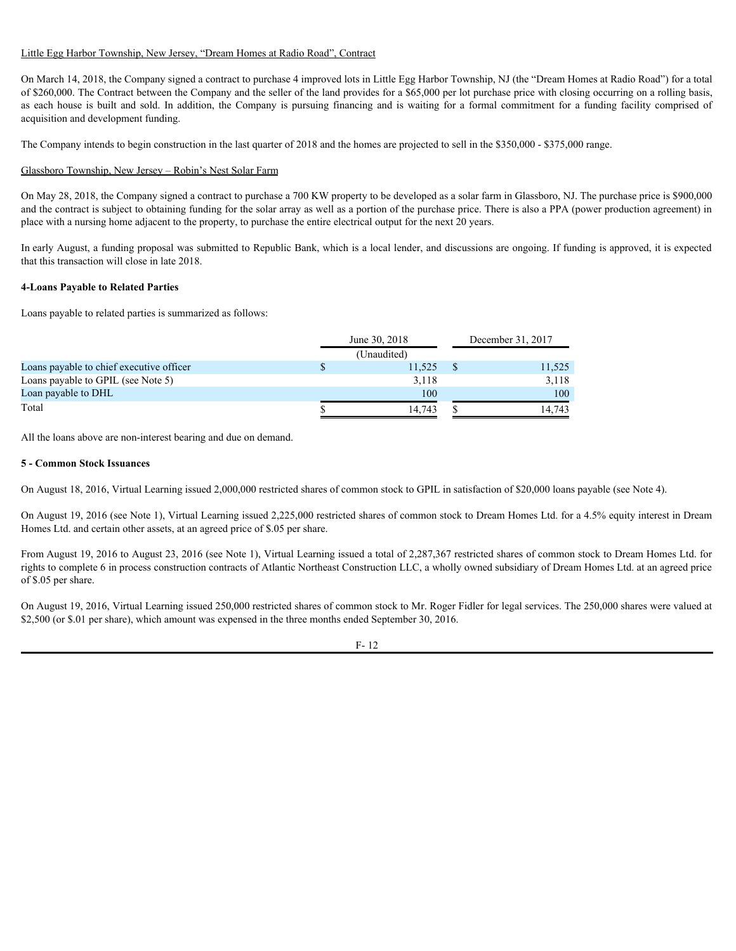#### Little Egg Harbor Township, New Jersey, "Dream Homes at Radio Road", Contract

On March 14, 2018, the Company signed a contract to purchase 4 improved lots in Little Egg Harbor Township, NJ (the "Dream Homes at Radio Road") for a total of \$260,000. The Contract between the Company and the seller of the land provides for a \$65,000 per lot purchase price with closing occurring on a rolling basis, Little Egg Harbor Township, New Jersey, "Dream Homes at Radio Road", Contract<br>On March 14, 2018, the Company signed a contract to purchase 4 improved lots in Little Egg Harbor Township, NJ (the "Dream Homes at Radio Road") acquisition and development funding.

The Company intends to begin construction in the last quarter of 2018 and the homes are projected to sell in the \$350,000 - \$375,000 range.

#### Glassboro Township, New Jersey – Robin's Nest Solar Farm

On May 28, 2018, the Company signed a contract to purchase a 700 KW property to be developed as a solar farm in Glassboro, NJ. The purchase price is \$900,000 and the contract is subject to obtaining funding for the solar array as well as a portion of the purchase price. There is also a PPA (power production agreement) in place with a nursing home adjacent to the property, to purchase the entire electrical output for the next 20 years.

In early August, a funding proposal was submitted to Republic Bank, which is a local lender, and discussions are ongoing. If funding is approved, it is expected that this transaction will close in late 2018.

#### **4-Loans Payable to Related Parties**

Loans payable to related parties is summarized as follows:

| June 30, 2018 |  | December 31, 2017 |  |  |
|---------------|--|-------------------|--|--|
| (Unaudited)   |  |                   |  |  |
| 11,525        |  | 11,525            |  |  |
| 3,118         |  | 3,118             |  |  |
| 100           |  | 100               |  |  |
| 14,743        |  | 14,743            |  |  |
|               |  |                   |  |  |

All the loans above are non-interest bearing and due on demand.

#### **5 - Common Stock Issuances**

On August 18, 2016, Virtual Learning issued 2,000,000 restricted shares of common stock to GPIL in satisfaction of \$20,000 loans payable (see Note 4).

On August 19, 2016 (see Note 1), Virtual Learning issued 2,225,000 restricted shares of common stock to Dream Homes Ltd. for a 4.5% equity interest in Dream Homes Ltd. and certain other assets, at an agreed price of \$.05 per share.

From August 19, 2016 to August 23, 2016 (see Note 1), Virtual Learning issued a total of 2,287,367 restricted shares of common stock to Dream Homes Ltd. for rights to complete 6 in process construction contracts of Atlantic Northeast Construction LLC, a wholly owned subsidiary of Dream Homes Ltd. at an agreed price of \$.05 per share.

On August 19, 2016, Virtual Learning issued 250,000 restricted shares of common stock to Mr. Roger Fidler for legal services. The 250,000 shares were valued at \$2,500 (or \$.01 per share), which amount was expensed in the three months ended September 30, 2016.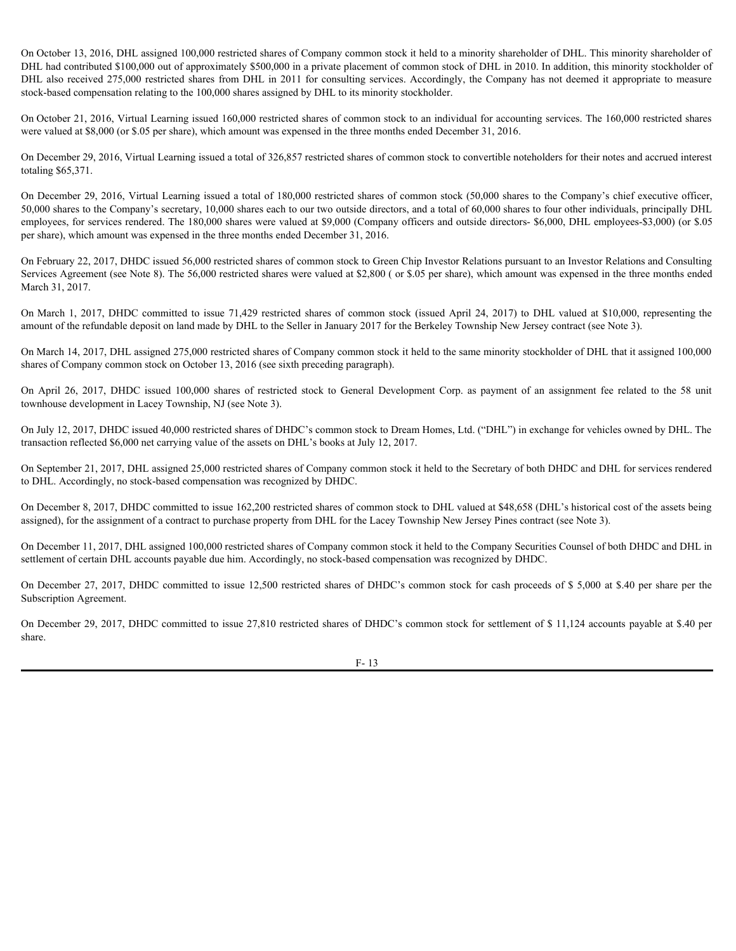On October 13, 2016, DHL assigned 100,000 restricted shares of Company common stock it held to a minority shareholder of DHL. This minority shareholder of DHL had contributed \$100,000 out of approximately \$500,000 in a private placement of common stock of DHL in 2010. In addition, this minority stockholder of DHL also received 275,000 restricted shares from DHL in 2011 for consulting services. Accordingly, the Company has not deemed it appropriate to measure stock-based compensation relating to the 100,000 shares assigned by DHL to its minority stockholder.

On October 21, 2016, Virtual Learning issued 160,000 restricted shares of common stock to an individual for accounting services. The 160,000 restricted shares were valued at \$8,000 (or \$.05 per share), which amount was expensed in the three months ended December 31, 2016.

On December 29, 2016, Virtual Learning issued a total of 326,857 restricted shares of common stock to convertible noteholders for their notes and accrued interest totaling \$65,371.

On December 29, 2016, Virtual Learning issued a total of 180,000 restricted shares of common stock (50,000 shares to the Company's chief executive officer, 50,000 shares to the Company's secretary, 10,000 shares each to our two outside directors, and a total of 60,000 shares to four other individuals, principally DHL employees, for services rendered. The 180,000 shares were valued at \$9,000 (Company officers and outside directors- \$6,000, DHL employees-\$3,000) (or \$.05 per share), which amount was expensed in the three months ended December 31, 2016. On October 13, 2016, DHL assigned 100,000 restricted shares of Company common stock it held to a minority shareholder of DHL. This minority shareholder of DHL in 2010, that committed SY000, on a strip system of Source of On October 13, 2016, DHI, assigned 100,000 centriced shares of Company common stock it held to a minority shareholder of DHI. This universident stock Company and Figure 1017. This minority also restricted shares for DHI, a

On February 22, 2017, DHDC issued 56,000 restricted shares of common stock to Green Chip Investor Relations pursuant to an Investor Relations and Consulting Services Agreement (see Note 8). The 56,000 restricted shares were valued at \$2,800 (or \$.05 per share), which amount was expensed in the three months ended March 31, 2017.

amount of the refundable deposit on land made by DHL to the Seller in January 2017 for the Berkeley Township New Jersey contract (see Note 3).

On March 14, 2017, DHL assigned 275,000 restricted shares of Company common stock it held to the same minority stockholder of DHL that it assigned 100,000 shares of Company common stock on October 13, 2016 (see sixth preceding paragraph).

townhouse development in Lacey Township, NJ (see Note 3).

On July 12, 2017, DHDC issued 40,000 restricted shares of DHDC's common stock to Dream Homes, Ltd. ("DHL") in exchange for vehicles owned by DHL. The transaction reflected \$6,000 net carrying value of the assets on DHL's books at July 12, 2017.

On September 21, 2017, DHL assigned 25,000 restricted shares of Company common stock it held to the Secretary of both DHDC and DHL for services rendered to DHL. Accordingly, no stock-based compensation was recognized by DHDC.

On December 8, 2017, DHDC committed to issue 162,200 restricted shares of common stock to DHL valued at \$48,658 (DHL's historical cost of the assets being assigned), for the assignment of a contract to purchase property from DHL for the Lacey Township New Jersey Pines contract (see Note 3).

On December 11, 2017, DHL assigned 100,000 restricted shares of Company common stock it held to the Company Securities Counsel of both DHDC and DHL in settlement of certain DHL accounts payable due him. Accordingly, no stock-based compensation was recognized by DHDC.

On December 27, 2017, DHDC committed to issue 12,500 restricted shares of DHDC's common stock for cash proceeds of \$ 5,000 at \$.40 per share per the Subscription Agreement.

On December 29, 2017, DHDC committed to issue 27,810 restricted shares of DHDC's common stock for settlement of \$ 11,124 accounts payable at \$.40 per share.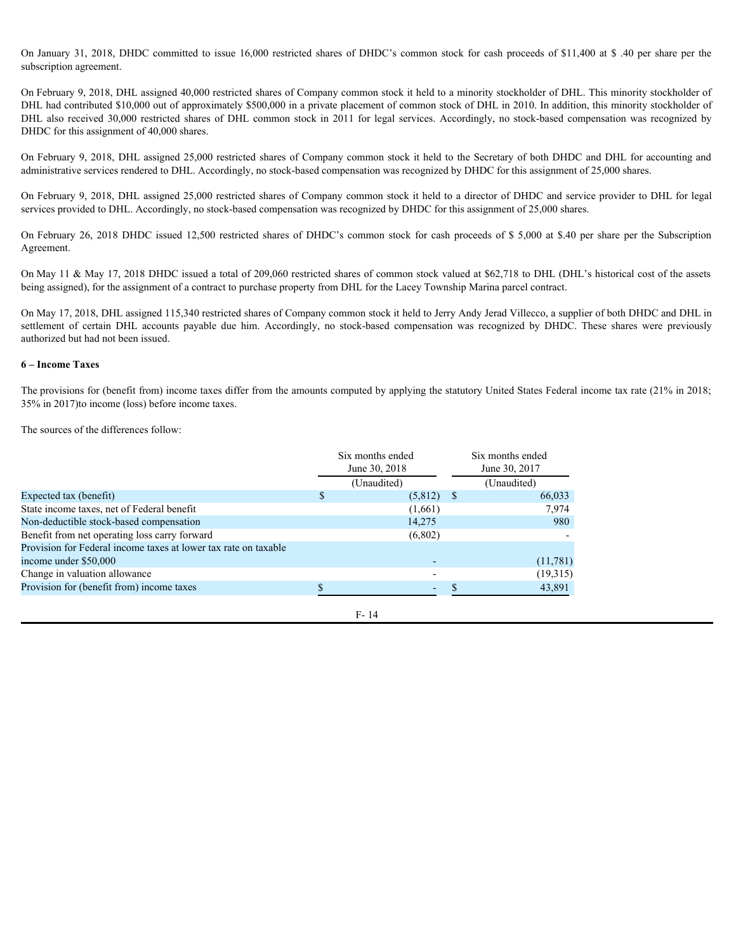subscription agreement.

On January 31, 2018, DHDC committed to issue 16,000 restricted shares of DHDC's common stock for cash proceeds of \$11,400 at \$ .40 per share per the<br>subscription agreement.<br>On February 9, 2018, DHL assigned 40,000 restrict On February 9, 2018, DHL assigned 40,000 restricted shares of Company common stock it held to a minority stockholder of DHL. This minority stockholder of DHL had contributed \$10,000 out of approximately \$500,000 in a private placement of common stock of DHL in 2010. In addition, this minority stockholder of On January 31, 2018, DHDC committed to issue 16,000 restricted shares of DHDC's common stock for cash proceeds of \$11,400 at \$ .40 per share per the subscription agreement.<br>On February 9, 2018, DHL assigned 40,000 restrict DHDC for this assignment of 40,000 shares. On January 31, 2018, DHDC committed to issue 16,000 restricted shares of DHDC's common stock for cash proceeds of \$11,400 at \$.40 per share per the<br>subscription agreement.<br>DHL had contrabled \$10,000 or d approximately \$50 On January 31, 2018, DHTDC committed to issue 16,000 restricted shares of DHTDC's common stock for eash proceeds of S11,400 at \$ -40 per share per the subscription agreement.<br>On Forbany 9, 2018, DHL assigned 49,000 restri

On February 9, 2018, DHL assigned 25,000 restricted shares of Company common stock it held to the Secretary of both DHDC and DHL for accounting and administrative services rendered to DHL. Accordingly, no stock-based compensation was recognized by DHDC for this assignment of 25,000 shares.

On February 9, 2018, DHL assigned 25,000 restricted shares of Company common stock it held to a director of DHDC and service provider to DHL for legal services provided to DHL. Accordingly, no stock-based compensation was recognized by DHDC for this assignment of 25,000 shares.

Agreement.

On May 11 & May 17, 2018 DHDC issued a total of 209,060 restricted shares of common stock valued at \$62,718 to DHL (DHL's historical cost of the assets being assigned), for the assignment of a contract to purchase property from DHL for the Lacey Township Marina parcel contract.

On May 17, 2018, DHL assigned 115,340 restricted shares of Company common stock it held to Jerry Andy Jerad Villecco, a supplier of both DHDC and DHL in authorized but had not been issued.

#### **6 – Income Taxes**

The provisions for (benefit from) income taxes differ from the amounts computed by applying the statutory United States Federal income tax rate (21% in 2018; 35% in 2017)to income (loss) before income taxes.

The sources of the differences follow:

|                                                                 | Six months ended         |  | Six months ended |
|-----------------------------------------------------------------|--------------------------|--|------------------|
|                                                                 | June 30, 2018            |  | June 30, 2017    |
|                                                                 | (Unaudited)              |  | (Unaudited)      |
| Expected tax (benefit)                                          | $(5,812)$ \$             |  | 66,033           |
| State income taxes, net of Federal benefit                      | (1,661)                  |  | 7,974            |
| Non-deductible stock-based compensation                         | 14,275                   |  | 980              |
| Benefit from net operating loss carry forward                   | (6,802)                  |  |                  |
| Provision for Federal income taxes at lower tax rate on taxable |                          |  |                  |
| income under \$50,000                                           |                          |  | (11,781)         |
| Change in valuation allowance                                   |                          |  | (19,315)         |
| Provision for (benefit from) income taxes                       | $\overline{\phantom{0}}$ |  | 43,891           |
|                                                                 |                          |  |                  |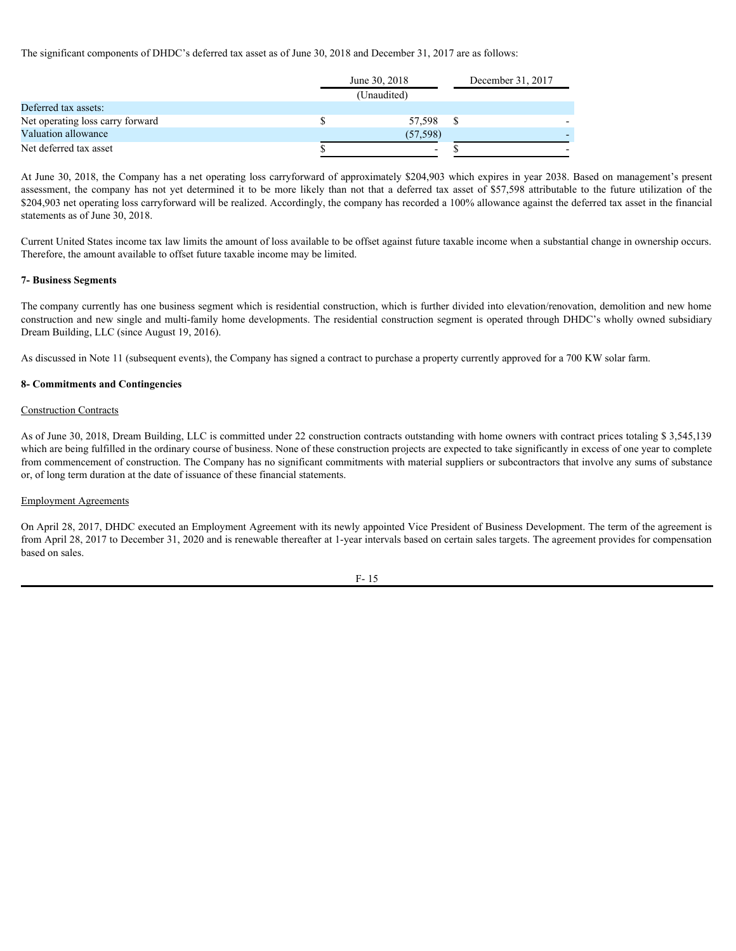| The significant components of DHDC's deferred tax asset as of June 30, 2018 and December 31, 2017 are as follows:                                                                                     |               |                                       |                   |  |
|-------------------------------------------------------------------------------------------------------------------------------------------------------------------------------------------------------|---------------|---------------------------------------|-------------------|--|
|                                                                                                                                                                                                       |               | June 30, 2018                         | December 31, 2017 |  |
|                                                                                                                                                                                                       |               | (Unaudited)                           |                   |  |
| Deferred tax assets:                                                                                                                                                                                  | <sup>\$</sup> |                                       |                   |  |
| Net operating loss carry forward<br>Valuation allowance                                                                                                                                               |               | 57,598 \$                             |                   |  |
| Net deferred tax asset                                                                                                                                                                                |               | (57, 598)<br>$\overline{\phantom{a}}$ | -S                |  |
|                                                                                                                                                                                                       |               |                                       |                   |  |
| At June 30, 2018, the Company has a net operating loss carryforward of approximately \$204,903 which expires in year 2038. Based on management's present                                              |               |                                       |                   |  |
| assessment, the company has not yet determined it to be more likely than not that a deferred tax asset of \$57,598 attributable to the future utilization of the                                      |               |                                       |                   |  |
| \$204,903 net operating loss carryforward will be realized. Accordingly, the company has recorded a 100% allowance against the deferred tax asset in the financial<br>statements as of June 30, 2018. |               |                                       |                   |  |
|                                                                                                                                                                                                       |               |                                       |                   |  |
| Current United States income tax law limits the amount of loss available to be offset against future taxable income when a substantial change in ownership occurs.                                    |               |                                       |                   |  |
| Therefore, the amount available to offset future taxable income may be limited.<br><b>7- Business Segments</b>                                                                                        |               |                                       |                   |  |

#### **7- Business Segments**

The company currently has one business segment which is residential construction, which is further divided into elevation/renovation, demolition and new home construction and new single and multi-family home developments. The residential construction segment is operated through DHDC's wholly owned subsidiary Dream Building, LLC (since August 19, 2016).

As discussed in Note 11 (subsequent events), the Company has signed a contract to purchase a property currently approved for a 700 KW solar farm.

#### **8- Commitments and Contingencies**

#### Construction Contracts

As of June 30, 2018, Dream Building, LLC is committed under 22 construction contracts outstanding with home owners with contract prices totaling \$ 3,545,139 which are being fulfilled in the ordinary course of business. None of these construction projects are expected to take significantly in excess of one year to complete from commencement of construction. The Company has no significant commitments with material suppliers or subcontractors that involve any sums of substance or, of long term duration at the date of issuance of these financial statements.

#### Employment Agreements

On April 28, 2017, DHDC executed an Employment Agreement with its newly appointed Vice President of Business Development. The term of the agreement is from April 28, 2017 to December 31, 2020 and is renewable thereafter at 1-year intervals based on certain sales targets. The agreement provides for compensation based on sales.

$$
F-15
$$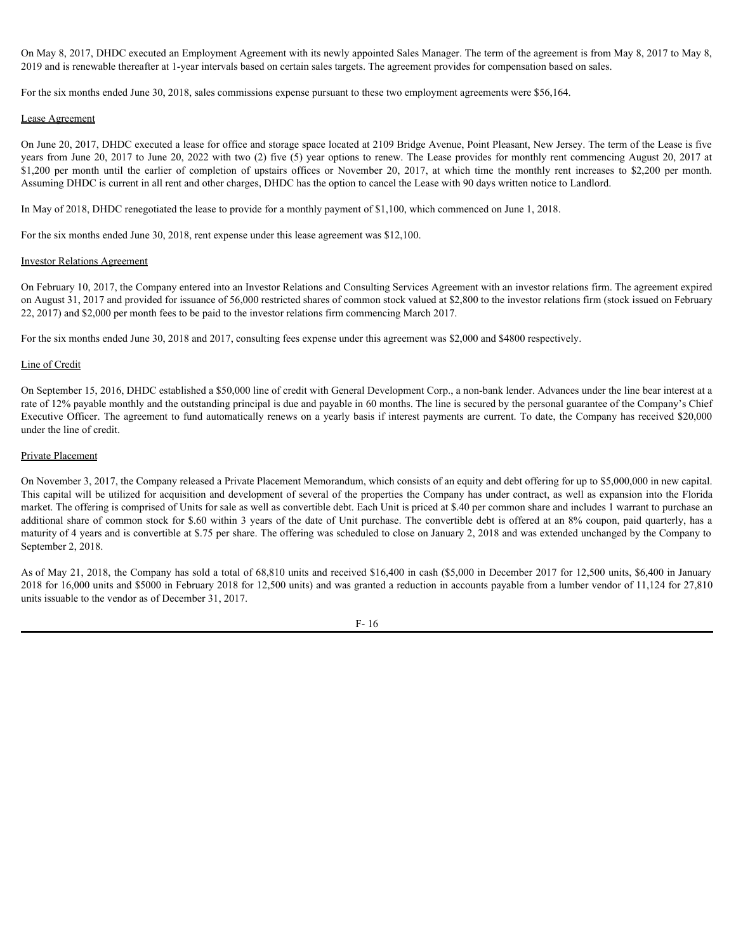On May 8, 2017, DHDC executed an Employment Agreement with its newly appointed Sales Manager. The term of the agreement is from May 8, 2017 to May 8, 2019 and is renewable thereafter at 1-year intervals based on certain sales targets. The agreement provides for compensation based on sales.

For the six months ended June 30, 2018, sales commissions expense pursuant to these two employment agreements were \$56,164.

#### Lease Agreement

On June 20, 2017, DHDC executed a lease for office and storage space located at 2109 Bridge Avenue, Point Pleasant, New Jersey. The term of the Lease is five years from June 20, 2017 to June 20, 2022 with two (2) five (5) year options to renew. The Lease provides for monthly rent commencing August 20, 2017 at On May 8, 2017, DHDC executed an Employment Agreement with its newly appointed Sales Manager. The term of the agreement is from May 8, 2017 to May 8, 2017 to May 8, 2017 to May 8, 2019 and is renewable thereafter at 1-year Assuming DHDC is current in all rent and other charges, DHDC has the option to cancel the Lease with 90 days written notice to Landlord.

In May of 2018, DHDC renegotiated the lease to provide for a monthly payment of \$1,100, which commenced on June 1, 2018.

For the six months ended June 30, 2018, rent expense under this lease agreement was \$12,100.

#### Investor Relations Agreement

On February 10, 2017, the Company entered into an Investor Relations and Consulting Services Agreement with an investor relations firm. The agreement expired on August 31, 2017 and provided for issuance of 56,000 restricted shares of common stock valued at \$2,800 to the investor relations firm (stock issued on February 22, 2017) and \$2,000 per month fees to be paid to the investor relations firm commencing March 2017.

For the six months ended June 30, 2018 and 2017, consulting fees expense under this agreement was \$2,000 and \$4800 respectively.

#### Line of Credit

On September 15, 2016, DHDC established a \$50,000 line of credit with General Development Corp., a non-bank lender. Advances under the line bear interest at a rate of 12% payable monthly and the outstanding principal is due and payable in 60 months. The line is secured by the personal guarantee of the Company's Chief Executive Officer. The agreement to fund automatically renews on a yearly basis if interest payments are current. To date, the Company has received \$20,000 under the line of credit.

#### Private Placement

On November 3, 2017, the Company released a Private Placement Memorandum, which consists of an equity and debt offering for up to \$5,000,000 in new capital. This capital will be utilized for acquisition and development of several of the properties the Company has under contract, as well as expansion into the Florida market. The offering is comprised of Units for sale as well as convertible debt. Each Unit is priced at \$.40 per common share and includes 1 warrant to purchase an additional share of common stock for \$.60 within 3 years of the date of Unit purchase. The convertible debt is offered at an 8% coupon, paid quarterly, has a maturity of 4 years and is convertible at \$.75 per share. The offering was scheduled to close on January 2, 2018 and was extended unchanged by the Company to September 2, 2018.

As of May 21, 2018, the Company has sold a total of 68,810 units and received \$16,400 in cash (\$5,000 in December 2017 for 12,500 units, \$6,400 in January 2018 for 16,000 units and \$5000 in February 2018 for 12,500 units) and was granted a reduction in accounts payable from a lumber vendor of 11,124 for 27,810 units issuable to the vendor as of December 31, 2017.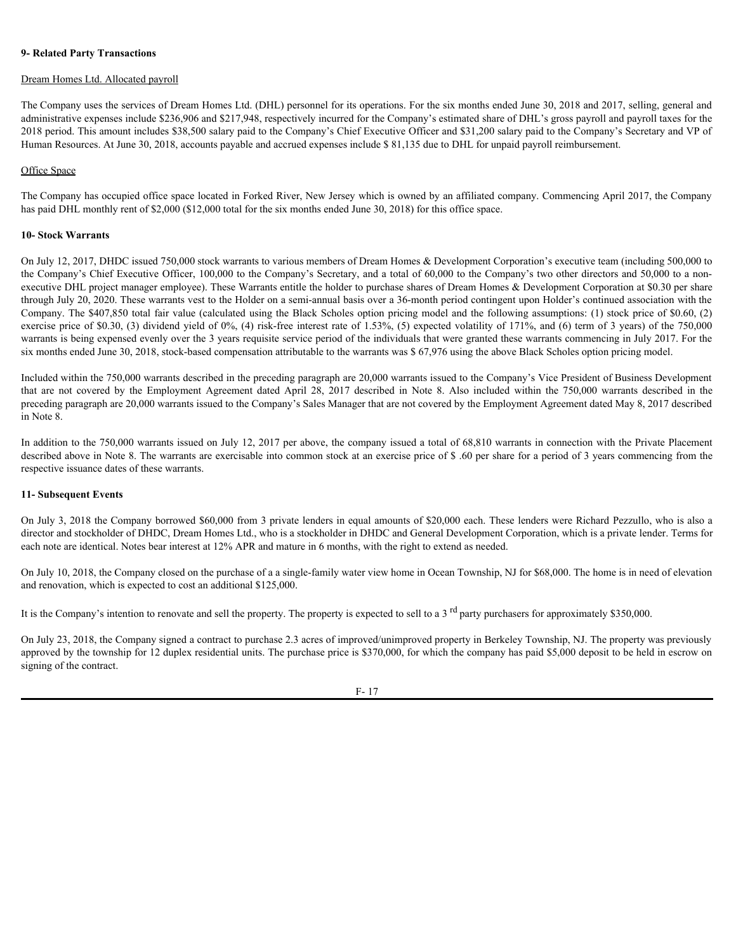#### **9- Related Party Transactions**

#### Dream Homes Ltd. Allocated payroll

The Company uses the services of Dream Homes Ltd. (DHL) personnel for its operations. For the six months ended June 30, 2018 and 2017, selling, general and administrative expenses include \$236,906 and \$217,948, respectively incurred for the Company's estimated share of DHL's gross payroll and payroll taxes for the 2018 period. This amount includes \$38,500 salary paid to the Company's Chief Executive Officer and \$31,200 salary paid to the Company's Secretary and VP of Human Resources. At June 30, 2018, accounts payable and accrued expenses include \$ 81,135 due to DHL for unpaid payroll reimbursement.

#### Office Space

The Company has occupied office space located in Forked River, New Jersey which is owned by an affiliated company. Commencing April 2017, the Company has paid DHL monthly rent of \$2,000 (\$12,000 total for the six months ended June 30, 2018) for this office space.

#### **10- Stock Warrants**

On July 12, 2017, DHDC issued 750,000 stock warrants to various members of Dream Homes & Development Corporation's executive team (including 500,000 to the Company's Chief Executive Officer, 100,000 to the Company's Secretary, and a total of 60,000 to the Company's two other directors and 50,000 to a nonexecutive DHL project manager employee). These Warrants entitle the holder to purchase shares of Dream Homes & Development Corporation at \$0.30 per share through July 20, 2020. These warrants vest to the Holder on a semi-annual basis over a 36-month period contingent upon Holder's continued association with the Company. The \$407,850 total fair value (calculated using the Black Scholes option pricing model and the following assumptions: (1) stock price of \$0.60, (2) exercise price of \$0.30, (3) dividend yield of  $0\%$ , (4) risk-free interest rate of 1.53%, (5) expected volatility of 171%, and (6) term of 3 years) of the 750,000 warrants is being expensed evenly over the 3 years requisite service period of the individuals that were granted these warrants commencing in July 2017. For the six months ended June 30, 2018, stock-based compensation attributable to the warrants was \$ 67,976 using the above Black Scholes option pricing model. 9. Related Party Transactions<br>
Dream Liones Lat. Allocated partial<br>
The Lonepay use absents we collected by 100 Mappale and covered we are of Covered by the Strangel share and allow Covered agrees included 28, 2018, and al

Included within the 750,000 warrants described in the preceding paragraph are 20,000 warrants issued to the Company's Vice President of Business Development preceding paragraph are 20,000 warrants issued to the Company's Sales Manager that are not covered by the Employment Agreement dated May 8, 2017 described in Note 8.

In addition to the 750,000 warrants issued on July 12, 2017 per above, the company issued a total of 68,810 warrants in connection with the Private Placement described above in Note 8. The warrants are exercisable into common stock at an exercise price of \$ .60 per share for a period of 3 years commencing from the respective issuance dates of these warrants.

#### **11- Subsequent Events**

On July 3, 2018 the Company borrowed \$60,000 from 3 private lenders in equal amounts of \$20,000 each. These lenders were Richard Pezzullo, who is also a director and stockholder of DHDC, Dream Homes Ltd., who is a stockholder in DHDC and General Development Corporation, which is a private lender. Terms for each note are identical. Notes bear interest at 12% APR and mature in 6 months, with the right to extend as needed.

On July 10, 2018, the Company closed on the purchase of a a single-family water view home in Ocean Township, NJ for \$68,000. The home is in need of elevation and renovation, which is expected to cost an additional \$125,000.

It is the Company's intention to renovate and sell the property. The property is expected to sell to a 3<sup>rd</sup> party purchasers for approximately \$350,000.

On July 23, 2018, the Company signed a contract to purchase 2.3 acres of improved/unimproved property in Berkeley Township, NJ. The property was previously approved by the township for 12 duplex residential units. The purchase price is \$370,000, for which the company has paid \$5,000 deposit to be held in escrow on signing of the contract.

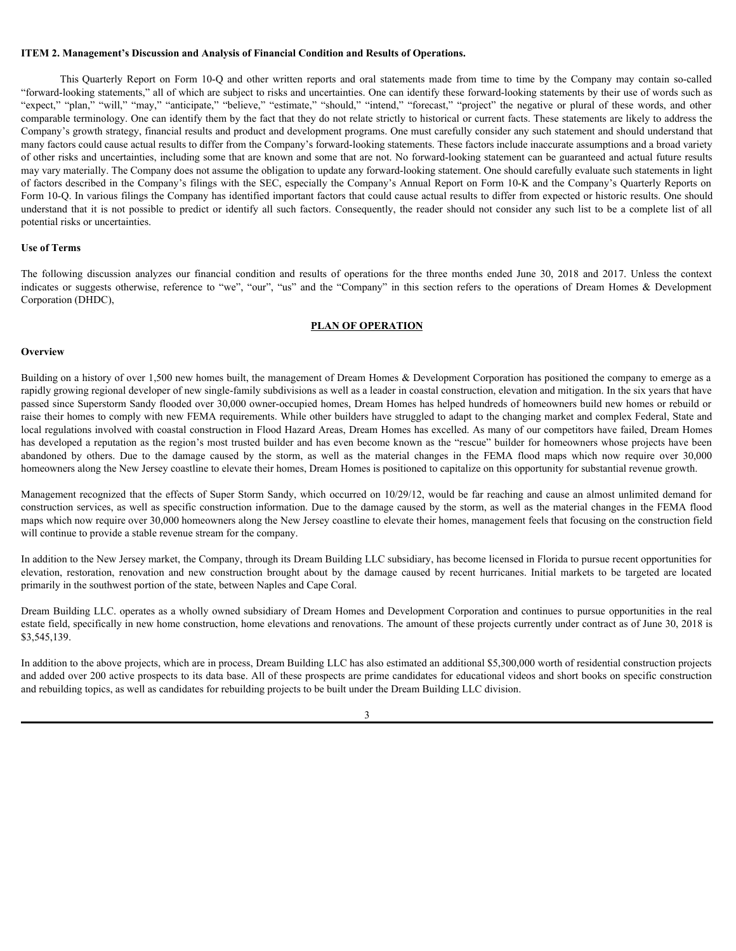#### <span id="page-19-0"></span>**ITEM 2. Management's Discussion and Analysis of Financial Condition and Results of Operations.**

**Management's Discussion and Analysis of Financial Condition and Results of Operations.**<br>This Quarterly Report on Form 10-Q and other written reports and oral statements made from time to time by the Company may contain so "forward-looking statements," all of which are subject to risks and uncertainties. One can identify these forward-looking statements by their use of words such as TTEM 2. Management's Discussion and Analysis of Financial Condition and Results of Operations.<br>
This Quarterly Report on Form 10-Q and other written reports and oral statements made from time to time by the Company may con comparable terminology. One can identify them by the fact that they do not relate strictly to historical or current facts. These statements are likely to address the Company's growth strategy, financial results and product and development programs. One must carefully consider any such statement and should understand that many factors could cause actual results to differ from the Company's forward-looking statements. These factors include inaccurate assumptions and a broad variety of other risks and uncertainties, including some that are known and some that are not. No forward-looking statement can be guaranteed and actual future results may vary materially. The Company does not assume the obligation to update any forward-looking statement. One should carefully evaluate such statements in light of factors described in the Company's filings with the SEC, especially the Company's Annual Report on Form 10-K and the Company's Quarterly Reports on Form 10-Q. In various filings the Company has identified important factors that could cause actual results to differ from expected or historic results. One should understand that it is not possible to predict or identify all such factors. Consequently, the reader should not consider any such list to be a complete list of all potential risks or uncertainties. **TTEM 2. Management's Discussion and Analysis of Financial Condition and Results of Operations.**<br>
This Quartery Report on Form 10-Q and other written reports and oral statements made from time to time by the Company rany **ITEM 2. Management's Discussion and Analysis of Financial Condition and Results of Operations.**<br>
This Quarterly Report on Form 10-Q and other written reports and one datements made from time to time by the Company may co This Quartery Report on Form 10-Q and other written reports and onlineatents made from time to three hy the Compary are youthin so-called<br>"Specific plate and in the follochalo stable caused contentions. Note can identify

#### **Use of Terms**

Corporation (DHDC),

#### **PLAN OF OPERATION**

#### **Overview Overview** *Overview*

Building on a history of over 1,500 new homes built, the management of Dream Homes & Development Corporation has positioned the company to emerge as a rapidly growing regional developer of new single-family subdivisions as well as a leader in coastal construction, elevation and mitigation. In the six years that have passed since Superstorm Sandy flooded over 30,000 owner-occupied homes, Dream Homes has helped hundreds of homeowners build new homes or rebuild or raise their homes to comply with new FEMA requirements. While other builders have struggled to adapt to the changing market and complex Federal, State and local regulations involved with coastal construction in Flood Hazard Areas, Dream Homes has excelled. As many of our competitors have failed, Dream Homes has developed a reputation as the region's most trusted builder and has even become known as the "rescue" builder for homeowners whose projects have been homeowners along the New Jersey coastline to elevate their homes, Dream Homes is positioned to capitalize on this opportunity for substantial revenue growth. of factor) states in the Coupage influe with the SFC, operative disc Constrainers of means and level on every interest and the state of the construction be compatible population of the state of the data of construction and

Management recognized that the effects of Super Storm Sandy, which occurred on 10/29/12, would be far reaching and cause an almost unlimited demand for construction services, as well as specific construction information. Due to the damage caused by the storm, as well as the material changes in the FEMA flood maps which now require over 30,000 homeowners along the New Jersey coastline to elevate their homes, management feels that focusing on the construction field will continue to provide a stable revenue stream for the company.

In addition to the New Jersey market, the Company, through its Dream Building LLC subsidiary, has become licensed in Florida to pursue recent opportunities for primarily in the southwest portion of the state, between Naples and Cape Coral.

Dream Building LLC. operates as a wholly owned subsidiary of Dream Homes and Development Corporation and continues to pursue opportunities in the real estate field, specifically in new home construction, home elevations and renovations. The amount of these projects currently under contract as of June 30, 2018 is \$3,545,139.

In addition to the above projects, which are in process, Dream Building LLC has also estimated an additional \$5,300,000 worth of residential construction projects and added over 200 active prospects to its data base. All of these prospects are prime candidates for educational videos and short books on specific construction and rebuilding topics, as well as candidates for rebuilding projects to be built under the Dream Building LLC division.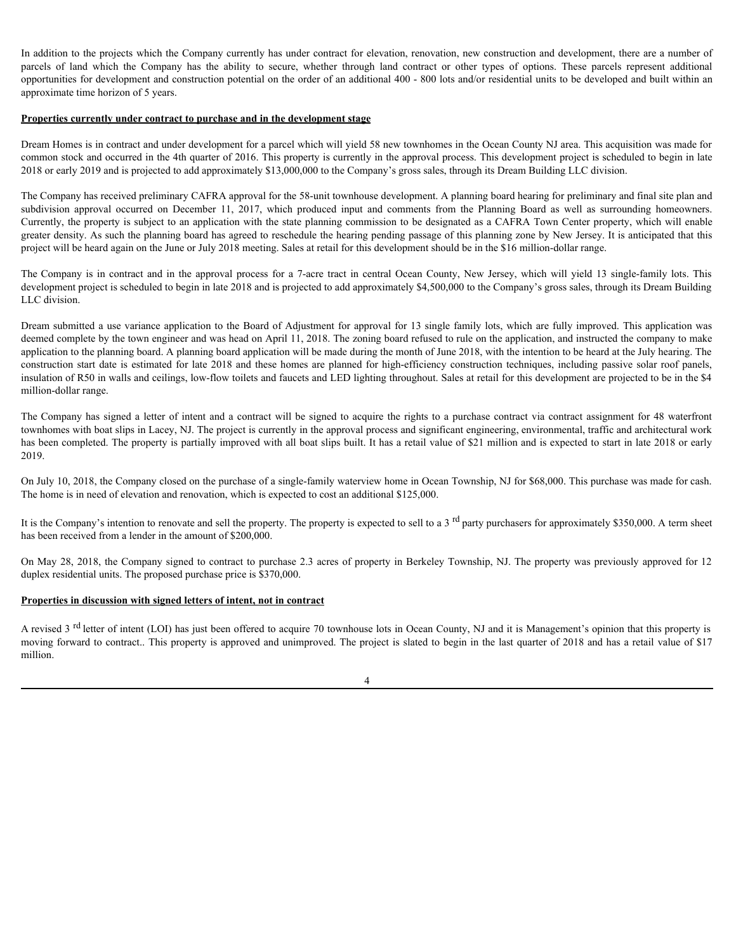In addition to the projects which the Company currently has under contract for elevation, renovation, new construction and development, there are a number of In addition to the projects which the Company currently has under contract for elevation, renovation, new construction and development, there are a number of parcels of land which the Company has the ability to secure, whe opportunities for development and construction potential on the order of an additional 400 - 800 lots and/or residential units to be developed and built within an approximate time horizon of 5 years.

#### **Properties currently under contract to purchase and in the development stage**

Dream Homes is in contract and under development for a parcel which will yield 58 new townhomes in the Ocean County NJ area. This acquisition was made for common stock and occurred in the 4th quarter of 2016. This property is currently in the approval process. This development project is scheduled to begin in late 2018 or early 2019 and is projected to add approximately \$13,000,000 to the Company's gross sales, through its Dream Building LLC division.

The Company has received preliminary CAFRA approval for the 58-unit townhouse development. A planning board hearing for preliminary and final site plan and In addition to the projects which the Company currently has under contract for elevation, renovation, new construction and development, there are a number of<br>paperturies for development and construction potential on the or Currently, the property is subject to an application with the state planning commission to be designated as a CAFRA Town Center property, which will enable greater density. As such the planning board has agreed to reschedule the hearing pending passage of this planning zone by New Jersey. It is anticipated that this project will be heard again on the June or July 2018 meeting. Sales at retail for this development should be in the \$16 million-dollar range. In addition to the projects which the Company currently has under contract for elevation, renovation, new construction and development, there are a numbe of properations for dared virtue Company has the ability to secure,

development project is scheduled to begin in late 2018 and is projected to add approximately \$4,500,000 to the Company's gross sales, through its Dream Building LLC division.

Dream submitted a use variance application to the Board of Adjustment for approval for 13 single family lots, which are fully improved. This application was deemed complete by the town engineer and was head on April 11, 2018. The zoning board refused to rule on the application, and instructed the company to make application to the planning board. A planning board application will be made during the month of June 2018, with the intention to be heard at the July hearing. The construction start date is estimated for late 2018 and these homes are planned for high-efficiency construction techniques, including passive solar roof panels, insulation of R50 in walls and ceilings, low-flow toilets and faucets and LED lighting throughout. Sales at retail for this development are projected to be in the \$4 million-dollar range.

The Company has signed a letter of intent and a contract will be signed to acquire the rights to a purchase contract via contract assignment for 48 waterfront townhomes with boat slips in Lacey, NJ. The project is currently in the approval process and significant engineering, environmental, traffic and architectural work has been completed. The property is partially improved with all boat slips built. It has a retail value of \$21 million and is expected to start in late 2018 or early 2019.

On July 10, 2018, the Company closed on the purchase of a single-family waterview home in Ocean Township, NJ for \$68,000. This purchase was made for cash. The home is in need of elevation and renovation, which is expected to cost an additional \$125,000.

It is the Company's intention to renovate and sell the property. The property is expected to sell to a 3<sup>rd</sup> party purchasers for approximately \$350,000. A term sheet has been received from a lender in the amount of \$200,000.

On May 28, 2018, the Company signed to contract to purchase 2.3 acres of property in Berkeley Township, NJ. The property was previously approved for 12 duplex residential units. The proposed purchase price is \$370,000.

#### **Properties in discussion with signed letters of intent, not in contract**

A revised 3<sup>rd</sup> letter of intent (LOI) has just been offered to acquire 70 townhouse lots in Ocean County, NJ and it is Management's opinion that this property is moving forward to contract.. This property is approved and unimproved. The project is slated to begin in the last quarter of 2018 and has a retail value of \$17 million.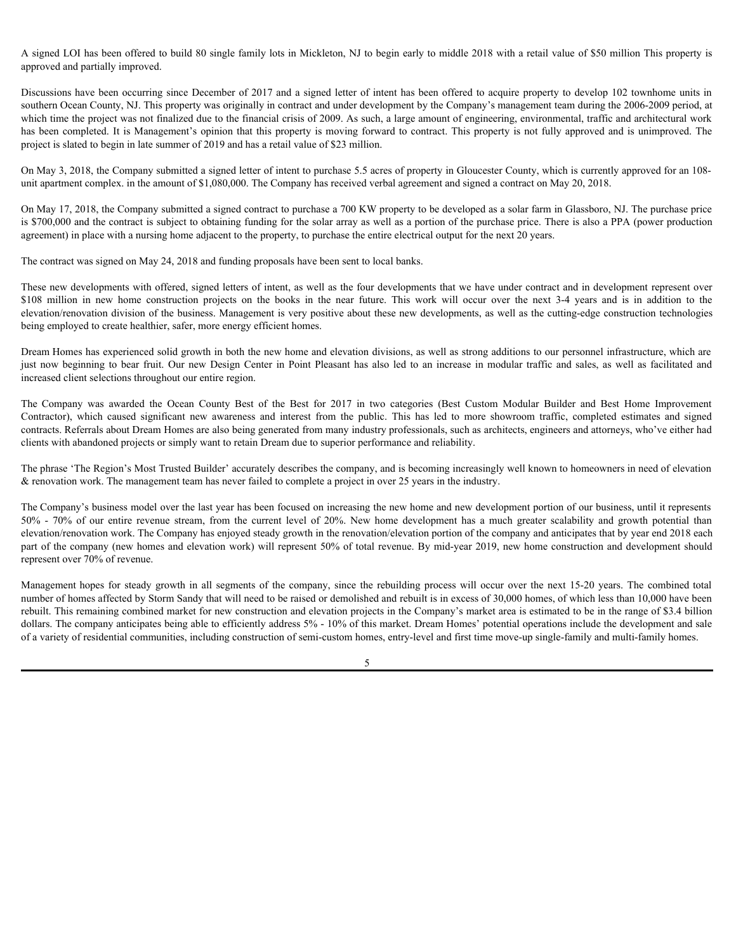A signed LOI has been offered to build 80 single family lots in Mickleton, NJ to begin early to middle 2018 with a retail value of \$50 million This property is approved and partially improved.

Discussions have been occurring since December of 2017 and a signed letter of intent has been offered to acquire property to develop 102 townhome units in southern Ocean County, NJ. This property was originally in contract and under development by the Company's management team during the 2006-2009 period, at which time the project was not finalized due to the financial crisis of 2009. As such, a large amount of engineering, environmental, traffic and architectural work has been completed. It is Management's opinion that this property is moving forward to contract. This property is not fully approved and is unimproved. The project is slated to begin in late summer of 2019 and has a retail value of \$23 million. A signed LOI has been offered to baild 80 single firmly jots in Mickleton, NJ to begin early to middle 2018 with a retail value of \$50 million. This property is approved and partially improved.<br>Docussions have been cocurr A signed LOI has been offered to build 80 single family lest in Mickleton, NJ to begin early to middle 2018 with a reductively also proved and partial visitored and partial visitored and partial visitored in Decembent Occo A signed LO has lead of food to build 80 single family lets in Michleton, NJ to begin early by middle 2018 with a related the Company interest of the Company of Decembent for Company interest of Decembent County Best cont A signed LOC has been effects to build \$0 single family lets in Mickleno, NI to begin endy to niddic 2018 with a representation of public and the system public. This public means the contract is a signed about the company

On May 3, 2018, the Company submitted a signed letter of intent to purchase 5.5 acres of property in Gloucester County, which is currently approved for an 108 unit apartment complex. in the amount of \$1,080,000. The Company has received verbal agreement and signed a contract on May 20, 2018.

On May 17, 2018, the Company submitted a signed contract to purchase a 700 KW property to be developed as a solar farm in Glassboro, NJ. The purchase price is \$700,000 and the contract is subject to obtaining funding for the solar array as well as a portion of the purchase price. There is also a PPA (power production agreement) in place with a nursing home adjacent to the property, to purchase the entire electrical output for the next 20 years.

The contract was signed on May 24, 2018 and funding proposals have been sent to local banks.

These new developments with offered, signed letters of intent, as well as the four developments that we have under contract and in development represent over elevation/renovation division of the business. Management is very positive about these new developments, as well as the cutting-edge construction technologies being employed to create healthier, safer, more energy efficient homes.

Dream Homes has experienced solid growth in both the new home and elevation divisions, as well as strong additions to our personnel infrastructure, which are increased client selections throughout our entire region.

contracts. Referrals about Dream Homes are also being generated from many industry professionals, such as architects, engineers and attorneys, who've either had clients with abandoned projects or simply want to retain Dream due to superior performance and reliability.

The phrase 'The Region's Most Trusted Builder' accurately describes the company, and is becoming increasingly well known to homeowners in need of elevation & renovation work. The management team has never failed to complete a project in over 25 years in the industry.

The Company's business model over the last year has been focused on increasing the new home and new development portion of our business, until it represents In the completed in the Mongement's comic at the property is mostly for our product in the form of the company is the form of 20% and its mean of 20% and its entirely and the company and its entirely and its company subsi elevation/renovation work. The Company has enjoyed steady growth in the renovation/elevation portion of the company and anticipates that by year end 2018 each part of the company (new homes and elevation work) will represent 50% of total revenue. By mid-year 2019, new home construction and development should represent over 70% of revenue. On May 17, 2018, the Company submitted a signed contract to purchase 2700 KW property to be developed as a solut from it Glustome, MJ. The purchase proportion is 9000000 and the contract is able specifical selective in su

number of homes affected by Storm Sandy that will need to be raised or demolished and rebuilt is in excess of 30,000 homes, of which less than 10,000 have been rebuilt. This remaining combined market for new construction and elevation projects in the Company's market area is estimated to be in the range of \$3.4 billion dollars. The company anticipates being able to efficiently address 5% - 10% of this market. Dream Homes' potential operations include the development and sale of a variety of residential communities, including construction of semi-custom homes, entry-level and first time move-up single-family and multi-family homes.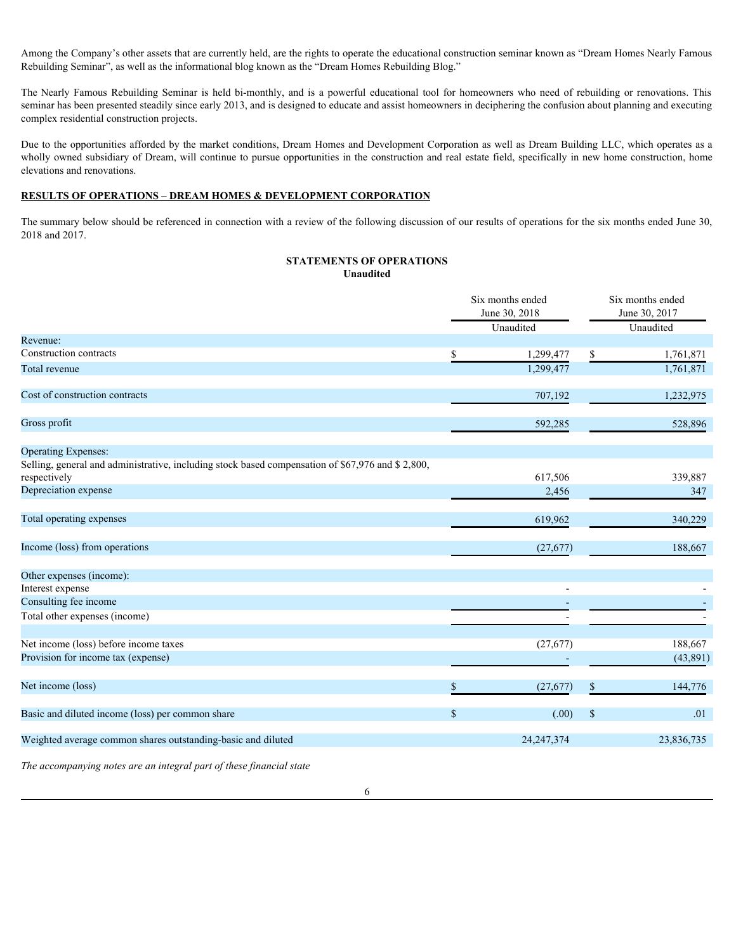Among the Company's other assets that are currently held, are the rights to operate the educational construction seminar known as "Dream Homes Nearly Famous Rebuilding Seminar", as well as the informational blog known as the "Dream Homes Rebuilding Blog."

seminar has been presented steadily since early 2013, and is designed to educate and assist homeowners in deciphering the confusion about planning and executing complex residential construction projects.

Among the Company's other assets that are currently held, are the rights to operate the educational construction seminar known as "Dream Homes Nearly Famous Rebuilding Seminar", as well as the informational blog known as t Due to the opportunities afforded by the market conditions, Dream Homes and Development Corporation as well as Dream Building LLC, which operates as a wholly owned subsidiary of Dream, will continue to pursue opportunities in the construction and real estate field, specifically in new home construction, home elevations and renovations.

#### **RESULTS OF OPERATIONS – DREAM HOMES & DEVELOPMENT CORPORATION**

The summary below should be referenced in connection with a review of the following discussion of our results of operations for the six months ended June 30, 2018 and 2017.

#### **STATEMENTS OF OPERATIONS Unaudited**

|                                                                                                  | Six months ended<br>June 30, 2018 |              | Six months ended<br>June 30, 2017 |
|--------------------------------------------------------------------------------------------------|-----------------------------------|--------------|-----------------------------------|
|                                                                                                  | Unaudited                         |              | Unaudited                         |
| Revenue:                                                                                         |                                   |              |                                   |
| Construction contracts                                                                           | 1,299,477                         | $\mathbf S$  | 1,761,871                         |
| Total revenue                                                                                    | 1,299,477                         |              | 1,761,871                         |
| Cost of construction contracts                                                                   | 707,192                           |              | 1,232,975                         |
| Gross profit                                                                                     | 592,285                           |              | 528,896                           |
| <b>Operating Expenses:</b>                                                                       |                                   |              |                                   |
| Selling, general and administrative, including stock based compensation of \$67,976 and \$2,800, |                                   |              |                                   |
| respectively                                                                                     | 617,506                           |              | 339,887                           |
| Depreciation expense                                                                             | 2,456                             |              | 347                               |
| Total operating expenses                                                                         | 619,962                           |              | 340,229                           |
| Income (loss) from operations                                                                    | (27,677)                          |              | 188,667                           |
| Other expenses (income):                                                                         |                                   |              |                                   |
| Interest expense                                                                                 |                                   |              |                                   |
| Consulting fee income                                                                            |                                   |              |                                   |
| Total other expenses (income)                                                                    |                                   |              |                                   |
| Net income (loss) before income taxes                                                            | (27, 677)                         |              | 188,667                           |
| Provision for income tax (expense)                                                               |                                   |              | (43, 891)                         |
| Net income (loss)                                                                                | (27, 677)                         |              | 144,776                           |
| Basic and diluted income (loss) per common share                                                 | \$<br>(.00)                       | $\mathbb{S}$ | .01                               |
| Weighted average common shares outstanding-basic and diluted                                     | 24, 247, 374                      |              | 23,836,735                        |
| The accompanying notes are an integral part of these financial state                             |                                   |              |                                   |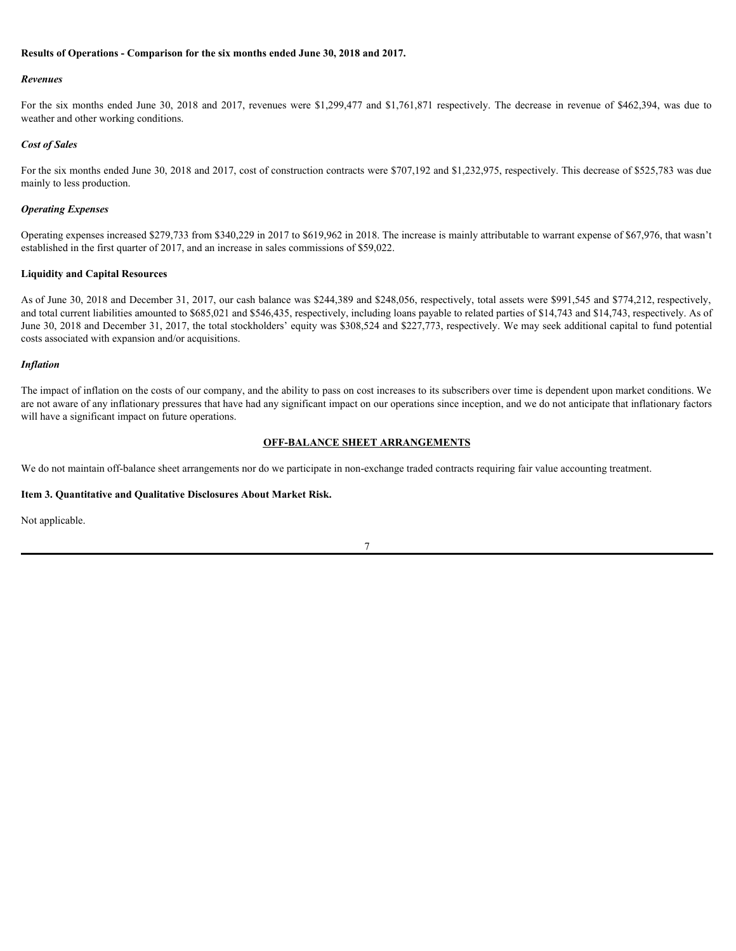#### **Results of Operations - Comparison for the six months ended June 30, 2018 and 2017.**

#### *Revenues*

weather and other working conditions.

#### *Cost of Sales*

**Results of Operations - Comparison for the six months ended June 30, 2018 and 2017.**<br> **Revenues**<br>
For the six months ended June 30, 2018 and 2017, revenues were \$1,299,477 and \$1,761,871 respectively. The decrease in reve For the six months ended June 30, 2018 and 2017, cost of construction contracts were \$707,192 and \$1,232,975, respectively. This decrease of \$525,783 was due mainly to less production.

#### *Operating Expenses*

Operating expenses increased \$279,733 from \$340,229 in 2017 to \$619,962 in 2018. The increase is mainly attributable to warrant expense of \$67,976, that wasn't established in the first quarter of 2017, and an increase in sales commissions of \$59,022.

#### **Liquidity and Capital Resources**

As of June 30, 2018 and December 31, 2017, our cash balance was \$244,389 and \$248,056, respectively, total assets were \$991,545 and \$774,212, respectively, and total current liabilities amounted to \$685,021 and \$546,435, respectively, including loans payable to related parties of \$14,743 and \$14,743, respectively. As of June 30, 2018 and December 31, 2017, the total stockholders' equity was \$308,524 and \$227,773, respectively. We may seek additional capital to fund potential costs associated with expansion and/or acquisitions.

#### *Inflation*

The impact of inflation on the costs of our company, and the ability to pass on cost increases to its subscribers over time is dependent upon market conditions. We are not aware of any inflationary pressures that have had any significant impact on our operations since inception, and we do not anticipate that inflationary factors will have a significant impact on future operations.

#### **OFF-BALANCE SHEET ARRANGEMENTS**

We do not maintain off-balance sheet arrangements nor do we participate in non-exchange traded contracts requiring fair value accounting treatment.

#### <span id="page-23-0"></span>**Item 3. Quantitative and Qualitative Disclosures About Market Risk.**

Not applicable.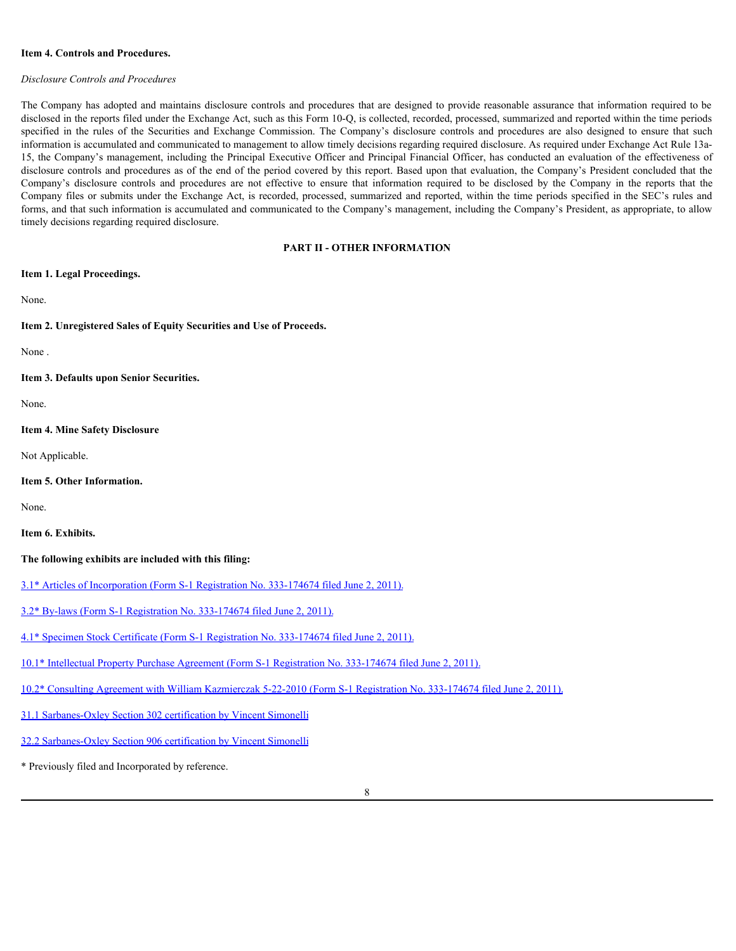#### <span id="page-24-0"></span>**Item 4. Controls and Procedures.**

#### *Disclosure Controls and Procedures*

The Company has adopted and maintains disclosure controls and procedures that are designed to provide reasonable assurance that information required to be disclosed in the reports filed under the Exchange Act, such as this Form 10-Q, is collected, recorded, processed, summarized and reported within the time periods **Item 4. Controls and Procedures.**<br> *Disclosure Controls and Procedures*<br>
The Company has adopted and maintains disclosure controls and procedures that are designed to provide reasonable assurance that information required information is accumulated and communicated to management to allow timely decisions regarding required disclosure. As required under Exchange Act Rule 13a-15, the Company's management, including the Principal Executive Officer and Principal Financial Officer, has conducted an evaluation of the effectiveness of disclosure controls and procedures as of the end of the period covered by this report. Based upon that evaluation, the Company's President concluded that the Item 4. Controls and Procedures.<br>
Disclosure Controls and Procedures<br>
The Company has adopted and maintains disclosure controls and procedures that are designed to provide reasonable assurance that information required to Company files or submits under the Exchange Act, is recorded, processed, summarized and reported, within the time periods specified in the SEC's rules and forms, and that such information is accumulated and communicated to the Company's management, including the Company's President, as appropriate, to allow timely decisions regarding required disclosure.

#### <span id="page-24-1"></span>**PART II - OTHER INFORMATION**

<span id="page-24-7"></span><span id="page-24-6"></span><span id="page-24-5"></span><span id="page-24-4"></span><span id="page-24-3"></span><span id="page-24-2"></span>

| Item 1. Legal Proceedings.                                                                                               |
|--------------------------------------------------------------------------------------------------------------------------|
| None.                                                                                                                    |
| Item 2. Unregistered Sales of Equity Securities and Use of Proceeds.                                                     |
| None.                                                                                                                    |
| Item 3. Defaults upon Senior Securities.                                                                                 |
| None.                                                                                                                    |
| Item 4. Mine Safety Disclosure                                                                                           |
| Not Applicable.                                                                                                          |
| Item 5. Other Information.                                                                                               |
| None.                                                                                                                    |
| Item 6. Exhibits.                                                                                                        |
| The following exhibits are included with this filing:                                                                    |
| 3.1* Articles of Incorporation (Form S-1 Registration No. 333-174674 filed June 2, 2011).                                |
| 3.2* By-laws (Form S-1 Registration No. 333-174674 filed June 2, 2011).                                                  |
| 4.1* Specimen Stock Certificate (Form S-1 Registration No. 333-174674 filed June 2, 2011).                               |
| 10.1* Intellectual Property Purchase Agreement (Form S-1 Registration No. 333-174674 filed June 2, 2011).                |
| 10.2* Consulting Agreement with William Kazmierczak 5-22-2010 (Form S-1 Registration No. 333-174674 filed June 2, 2011). |
| 31.1 Sarbanes-Oxley Section 302 certification by Vincent Simonelli                                                       |
| 32.2 Sarbanes-Oxley Section 906 certification by Vincent Simonelli                                                       |
| * Previously filed and Incorporated by reference.                                                                        |
| 8                                                                                                                        |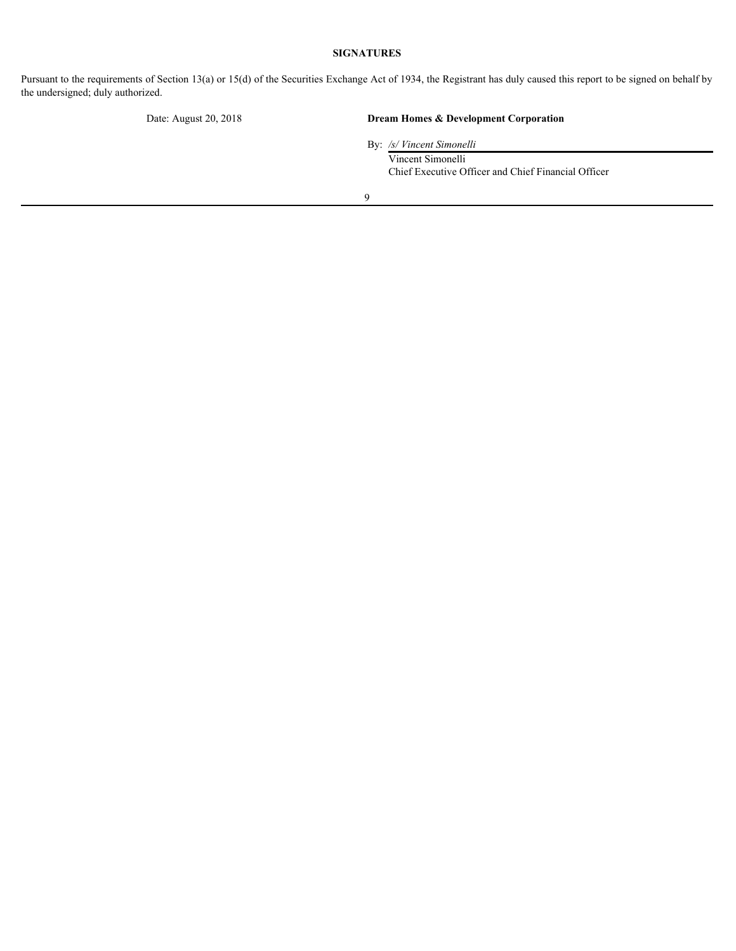### <span id="page-25-0"></span>**SIGNATURES**

Pursuant to the requirements of Section 13(a) or 15(d) of the Securities Exchange Act of 1934, the Registrant has duly caused this report to be signed on behalf by the undersigned; duly authorized.

## Date: August 20, 2018 **Dream Homes & Development Corporation**

By: */s/ Vincent Simonelli*

Vincent Simonelli Chief Executive Officer and Chief Financial Officer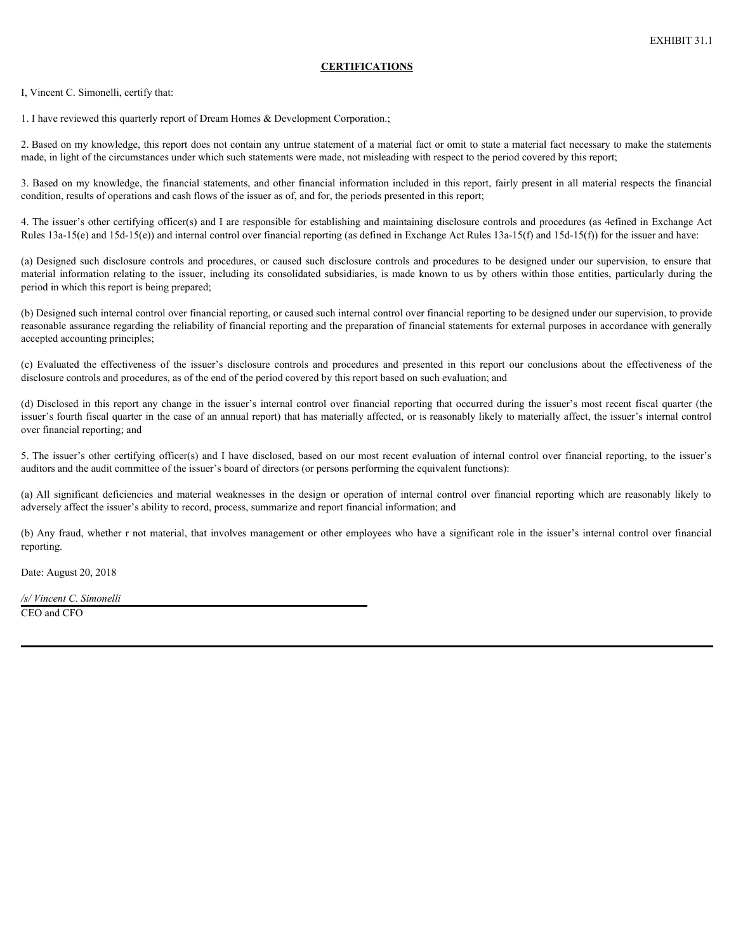#### **CERTIFICATIONS**

<span id="page-26-0"></span>I, Vincent C. Simonelli, certify that:

1. I have reviewed this quarterly report of Dream Homes & Development Corporation.;

2. Based on my knowledge, this report does not contain any untrue statement of a material fact or omit to state a material fact necessary to make the statements made, in light of the circumstances under which such statements were made, not misleading with respect to the period covered by this report;

3. Based on my knowledge, the financial statements, and other financial information included in this report, fairly present in all material respects the financial condition, results of operations and cash flows of the issuer as of, and for, the periods presented in this report;

4. The issuer's other certifying officer(s) and I are responsible for establishing and maintaining disclosure controls and procedures (as 4efined in Exchange Act Rules  $13a-15(e)$  and  $15d-15(e)$ ) and internal control over financial reporting (as defined in Exchange Act Rules  $13a-15(f)$ ) and  $15d-15(f)$ ) for the issuer and have:

period in which this report is being prepared;

EXHIBIC ATIONS<br>
EXHIBIT 31.1<br>
1. I have reviewed this quarterly report of Dream Homes & Development Corporation,<br>
2. Based on my knowledge, this report does not contain any unture statement of a material part or the such c EXHIBIT 31.1<br>
1. Thave reviewed this quarterly report of Dream Homes & Development Corporation.<br>
2. Based on my knowledge, this report does not contain any untrue suitercont of a material fact or conit to state a material (b) Designed such internal control over financial reporting, or caused such internal control over financial reporting to be designed under our supervision, to provide reasonable assurance regarding the reliability of financial reporting and the preparation of financial statements for external purposes in accordance with generally accepted accounting principles; **CERTIFICATIONS**<br>
(CERTIFICATIONS)<br>
11 have reviewed this quarted years of Preme Hores. & Development Corporation;<br>
2. Hased on my knowledge, this report does not contain any unture stakement of a material fact or emit to I. Have reviewed this quatrix is port of Dicam Homes & Development Cosponion,<br>
2. Bused on any knowledge, this report does not contain any unitae attention of a material fact or omit to state a material or file mergeratio

disclosure controls and procedures, as of the end of the period covered by this report based on such evaluation; and

(d) Disclosed in this report any change in the issuer's internal control over financial reporting that occurred during the issuer's most recent fiscal quarter (the issuer's fourth fiscal quarter in the case of an annual report) that has materially affected, or is reasonably likely to materially affect, the issuer's internal control over financial reporting; and

5. The issuer's other certifying officer(s) and I have disclosed, based on our most recent evaluation of internal control over financial reporting, to the issuer's auditors and the audit committee of the issuer's board of directors (or persons performing the equivalent functions):

adversely affect the issuer's ability to record, process, summarize and report financial information; and

(b) Any fraud, whether r not material, that involves management or other employees who have a significant role in the issuer's internal control over financial reporting.

Date: August 20, 2018

*/s/ Vincent C. Simonelli* CEO and CFO